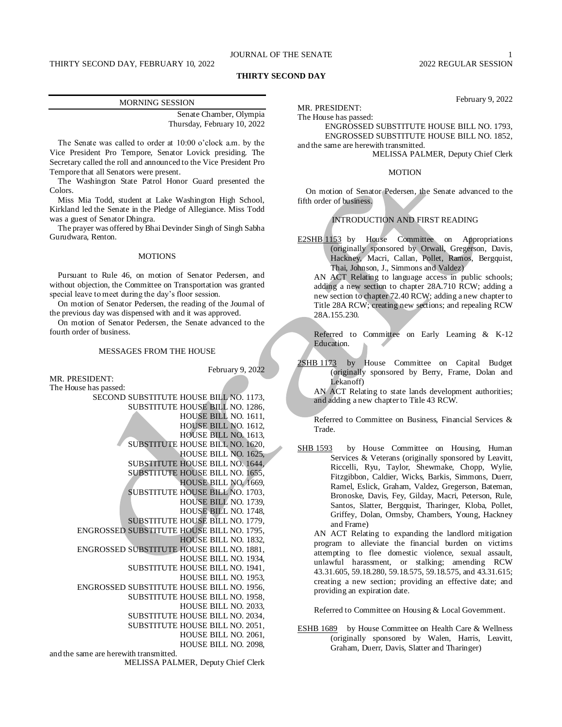## JOURNAL OF THE SENATE 1

February 9, 2022

## **THIRTY SECOND DAY**

| <b>MORNING SESSION</b>      |  |
|-----------------------------|--|
| Senate Chamber, Olympia     |  |
| Thursday, February 10, 2022 |  |

The Senate was called to order at 10:00 o'clock a.m. by the Vice President Pro Tempore, Senator Lovick presiding. The Secretary called the roll and announced to the Vice President Pro Tempore that all Senators were present.

The Washington State Patrol Honor Guard presented the Colors.

Miss Mia Todd, student at Lake Washington High School, Kirkland led the Senate in the Pledge of Allegiance. Miss Todd was a guest of Senator Dhingra.

The prayer was offered by Bhai Devinder Singh of Singh Sabha Gurudwara, Renton.

### **MOTIONS**

Pursuant to Rule 46, on motion of Senator Pedersen, and without objection, the Committee on Transportation was granted special leave to meet during the day's floor session.

On motion of Senator Pedersen, the reading of the Journal of the previous day was dispensed with and it was approved.

On motion of Senator Pedersen, the Senate advanced to the fourth order of business.

#### MESSAGES FROM THE HOUSE

February 9, 2022

MR. PRESIDENT: The House has passed:

SECOND SUBSTITUTE HOUSE BILL NO. 1173, SUBSTITUTE HOUSE BILL NO. 1286, HOUSE BILL NO. 1611, HOUSE BILL NO. 1612, HOUSE BILL NO. 1613, SUBSTITUTE HOUSE BILL NO. 1620, HOUSE BILL NO. 1625, SUBSTITUTE HOUSE BILL NO. 1644, SUBSTITUTE HOUSE BILL NO. 1655, HOUSE BILL NO. 1669, SUBSTITUTE HOUSE BILL NO. 1703, HOUSE BILL NO. 1739, HOUSE BILL NO. 1748, SUBSTITUTE HOUSE BILL NO. 1779, ENGROSSED SUBSTITUTE HOUSE BILL NO. 1795, HOUSE BILL NO. 1832, ENGROSSED SUBSTITUTE HOUSE BILL NO. 1881, HOUSE BILL NO. 1934, SUBSTITUTE HOUSE BILL NO. 1941, HOUSE BILL NO. 1953, ENGROSSED SUBSTITUTE HOUSE BILL NO. 1956, SUBSTITUTE HOUSE BILL NO. 1958, HOUSE BILL NO. 2033, SUBSTITUTE HOUSE BILL NO. 2034, SUBSTITUTE HOUSE BILL NO. 2051, HOUSE BILL NO. 2061, HOUSE BILL NO. 2098, and the same are herewith transmitted.

MELISSA PALMER, Deputy Chief Clerk

MR. PRESIDENT: The House has passed:

ENGROSSED SUBSTITUTE HOUSE BILL NO. 1793, ENGROSSED SUBSTITUTE HOUSE BILL NO. 1852,

and the same are herewith transmitted. MELISSA PALMER, Deputy Chief Clerk

#### **MOTION**

On motion of Senator Pedersen, the Senate advanced to the fifth order of business.

## INTRODUCTION AND FIRST READING

E2SHB 1153 by House Committee on Appropriations (originally sponsored by Orwall, Gregerson, Davis, Hackney, Macri, Callan, Pollet, Ramos, Bergquist, Thai, Johnson, J., Simmons and Valdez)

AN ACT Relating to language access in public schools; adding a new section to chapter 28A.710 RCW; adding a new section to chapter 72.40 RCW; adding a new chapter to Title 28A RCW; creating new sections; and repealing RCW 28A.155.230.

Referred to Committee on Early Learning & K-12 Education.

2SHB 1173 by House Committee on Capital Budget (originally sponsored by Berry, Frame, Dolan and Lekanoff)

AN ACT Relating to state lands development authorities; and adding a new chapter to Title 43 RCW.

Referred to Committee on Business, Financial Services & Trade.

SHB 1593 by House Committee on Housing, Human Services & Veterans (originally sponsored by Leavitt, Riccelli, Ryu, Taylor, Shewmake, Chopp, Wylie, Fitzgibbon, Caldier, Wicks, Barkis, Simmons, Duerr, Ramel, Eslick, Graham, Valdez, Gregerson, Bateman, Bronoske, Davis, Fey, Gilday, Macri, Peterson, Rule, Santos, Slatter, Bergquist, Tharinger, Kloba, Pollet, Griffey, Dolan, Ormsby, Chambers, Young, Hackney and Frame)

AN ACT Relating to expanding the landlord mitigation program to alleviate the financial burden on victims attempting to flee domestic violence, sexual assault, unlawful harassment, or stalking; amending RCW 43.31.605, 59.18.280, 59.18.575, 59.18.575, and 43.31.615; creating a new section; providing an effective date; and providing an expiration date.

Referred to Committee on Housing & Local Government.

ESHB 1689 by House Committee on Health Care & Wellness (originally sponsored by Walen, Harris, Leavitt, Graham, Duerr, Davis, Slatter and Tharinger)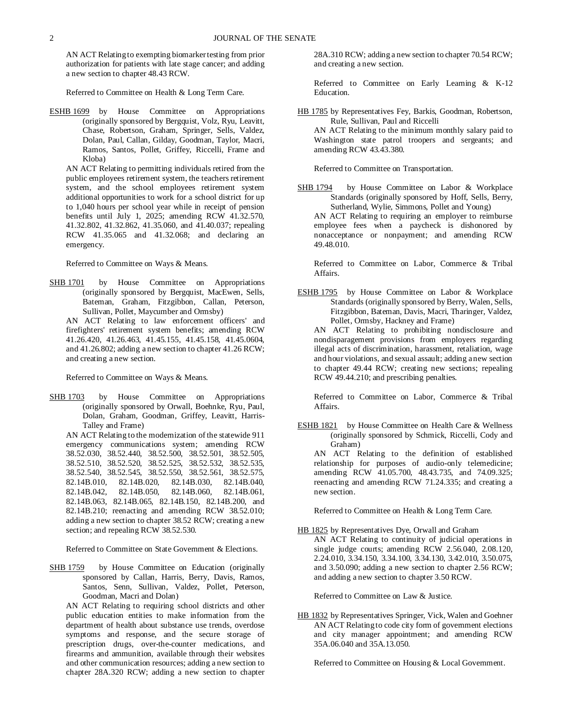AN ACT Relating to exempting biomarker testing from prior authorization for patients with late stage cancer; and adding a new section to chapter 48.43 RCW.

Referred to Committee on Health & Long Term Care.

ESHB 1699 by House Committee on Appropriations (originally sponsored by Bergquist, Volz, Ryu, Leavitt, Chase, Robertson, Graham, Springer, Sells, Valdez, Dolan, Paul, Callan, Gilday, Goodman, Taylor, Macri, Ramos, Santos, Pollet, Griffey, Riccelli, Frame and Kloba)

AN ACT Relating to permitting individuals retired from the public employees retirement system, the teachers retirement system, and the school employees retirement system additional opportunities to work for a school district for up to 1,040 hours per school year while in receipt of pension benefits until July 1, 2025; amending RCW 41.32.570, 41.32.802, 41.32.862, 41.35.060, and 41.40.037; repealing RCW 41.35.065 and 41.32.068; and declaring an emergency.

Referred to Committee on Ways & Means.

SHB 1701 by House Committee on Appropriations (originally sponsored by Bergquist, MacEwen, Sells, Bateman, Graham, Fitzgibbon, Callan, Peterson, Sullivan, Pollet, Maycumber and Ormsby)

AN ACT Relating to law enforcement officers' and firefighters' retirement system benefits; amending RCW 41.26.420, 41.26.463, 41.45.155, 41.45.158, 41.45.0604, and 41.26.802; adding a new section to chapter 41.26 RCW; and creating a new section.

Referred to Committee on Ways & Means.

SHB 1703 by House Committee on Appropriations (originally sponsored by Orwall, Boehnke, Ryu, Paul, Dolan, Graham, Goodman, Griffey, Leavitt, Harris-Talley and Frame)

AN ACT Relating to the modernization of the statewide 911 emergency communications system; amending RCW 38.52.030, 38.52.440, 38.52.500, 38.52.501, 38.52.505, 38.52.510, 38.52.520, 38.52.525, 38.52.532, 38.52.535, 38.52.540, 38.52.545, 38.52.550, 38.52.561, 38.52.575, 82.14B.010, 82.14B.020, 82.14B.030, 82.14B.040, 82.14B.042, 82.14B.050, 82.14B.060, 82.14B.061, 82.14B.063, 82.14B.065, 82.14B.150, 82.14B.200, and 82.14B.210; reenacting and amending RCW 38.52.010; adding a new section to chapter 38.52 RCW; creating a new section; and repealing RCW 38.52.530.

Referred to Committee on State Government & Elections.

SHB 1759 by House Committee on Education (originally sponsored by Callan, Harris, Berry, Davis, Ramos, Santos, Senn, Sullivan, Valdez, Pollet, Peterson, Goodman, Macri and Dolan)

AN ACT Relating to requiring school districts and other public education entities to make information from the department of health about substance use trends, overdose symptoms and response, and the secure storage of prescription drugs, over-the-counter medications, and firearms and ammunition, available through their websites and other communication resources; adding a new section to chapter 28A.320 RCW; adding a new section to chapter

28A.310 RCW; adding a new section to chapter 70.54 RCW; and creating a new section.

Referred to Committee on Early Learning & K-12 Education.

HB 1785 by Representatives Fey, Barkis, Goodman, Robertson, Rule, Sullivan, Paul and Riccelli AN ACT Relating to the minimum monthly salary paid to Washington state patrol troopers and sergeants; and amending RCW 43.43.380.

Referred to Committee on Transportation.

SHB 1794 by House Committee on Labor & Workplace Standards (originally sponsored by Hoff, Sells, Berry, Sutherland, Wylie, Simmons, Pollet and Young)

AN ACT Relating to requiring an employer to reimburse employee fees when a paycheck is dishonored by nonacceptance or nonpayment; and amending RCW 49.48.010.

Referred to Committee on Labor, Commerce & Tribal Affairs.

ESHB 1795 by House Committee on Labor & Workplace Standards (originally sponsored by Berry, Walen, Sells, Fitzgibbon, Bateman, Davis, Macri, Tharinger, Valdez, Pollet, Ormsby, Hackney and Frame)

AN ACT Relating to prohibiting nondisclosure and nondisparagement provisions from employers regarding illegal acts of discrimination, harassment, retaliation, wage and hour violations, and sexual assault; adding a new section to chapter 49.44 RCW; creating new sections; repealing RCW 49.44.210; and prescribing penalties.

Referred to Committee on Labor, Commerce & Tribal Affairs.

ESHB 1821 by House Committee on Health Care & Wellness (originally sponsored by Schmick, Riccelli, Cody and Graham) AN ACT Relating to the definition of established relationship for purposes of audio-only telemedicine; amending RCW 41.05.700, 48.43.735, and 74.09.325; reenacting and amending RCW 71.24.335; and creating a new section.

Referred to Committee on Health & Long Term Care.

HB 1825 by Representatives Dye, Orwall and Graham AN ACT Relating to continuity of judicial operations in single judge courts; amending RCW 2.56.040, 2.08.120, 2.24.010, 3.34.150, 3.34.100, 3.34.130, 3.42.010, 3.50.075, and 3.50.090; adding a new section to chapter 2.56 RCW; and adding a new section to chapter 3.50 RCW.

Referred to Committee on Law & Justice.

HB 1832 by Representatives Springer, Vick, Walen and Goehner AN ACT Relating to code city form of government elections and city manager appointment; and amending RCW 35A.06.040 and 35A.13.050.

Referred to Committee on Housing & Local Government.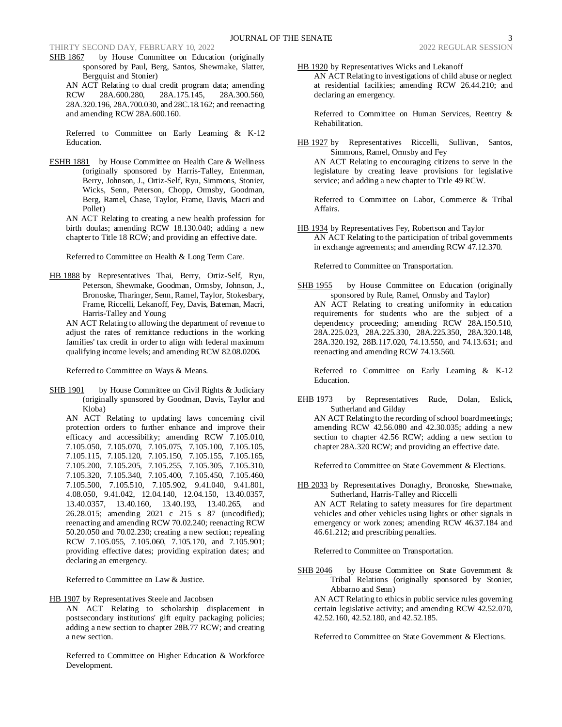SHB 1867 by House Committee on Education (originally sponsored by Paul, Berg, Santos, Shewmake, Slatter, Bergquist and Stonier)

AN ACT Relating to dual credit program data; amending RCW 28A.600.280, 28A.175.145, 28A.300.560, 28A.320.196, 28A.700.030, and 28C.18.162; and reenacting and amending RCW 28A.600.160.

Referred to Committee on Early Learning & K-12 Education.

ESHB 1881 by House Committee on Health Care & Wellness (originally sponsored by Harris-Talley, Entenman, Berry, Johnson, J., Ortiz-Self, Ryu, Simmons, Stonier, Wicks, Senn, Peterson, Chopp, Ormsby, Goodman, Berg, Ramel, Chase, Taylor, Frame, Davis, Macri and Pollet)

AN ACT Relating to creating a new health profession for birth doulas; amending RCW 18.130.040; adding a new chapter to Title 18 RCW; and providing an effective date.

Referred to Committee on Health & Long Term Care.

HB 1888 by Representatives Thai, Berry, Ortiz-Self, Ryu, Peterson, Shewmake, Goodman, Ormsby, Johnson, J., Bronoske, Tharinger, Senn, Ramel, Taylor, Stokesbary, Frame, Riccelli, Lekanoff, Fey, Davis, Bateman, Macri, Harris-Talley and Young

AN ACT Relating to allowing the department of revenue to adjust the rates of remittance reductions in the working families' tax credit in order to align with federal maximum qualifying income levels; and amending RCW 82.08.0206.

Referred to Committee on Ways & Means.

SHB 1901 by House Committee on Civil Rights & Judiciary (originally sponsored by Goodman, Davis, Taylor and Kloba)

AN ACT Relating to updating laws concerning civil protection orders to further enhance and improve their efficacy and accessibility; amending RCW 7.105.010, 7.105.050, 7.105.070, 7.105.075, 7.105.100, 7.105.105, 7.105.115, 7.105.120, 7.105.150, 7.105.155, 7.105.165, 7.105.200, 7.105.205, 7.105.255, 7.105.305, 7.105.310, 7.105.320, 7.105.340, 7.105.400, 7.105.450, 7.105.460, 7.105.500, 7.105.510, 7.105.902, 9.41.040, 9.41.801, 4.08.050, 9.41.042, 12.04.140, 12.04.150, 13.40.0357, 13.40.0357, 13.40.160, 13.40.193, 13.40.265, and 26.28.015; amending 2021 c 215 s 87 (uncodified); reenacting and amending RCW 70.02.240; reenacting RCW 50.20.050 and 70.02.230; creating a new section; repealing RCW 7.105.055, 7.105.060, 7.105.170, and 7.105.901; providing effective dates; providing expiration dates; and declaring an emergency.

Referred to Committee on Law & Justice.

HB 1907 by Representatives Steele and Jacobsen AN ACT Relating to scholarship displacement in postsecondary institutions' gift equity packaging policies; adding a new section to chapter 28B.77 RCW; and creating a new section.

Referred to Committee on Higher Education & Workforce Development.

HB 1920 by Representatives Wicks and Lekanoff AN ACT Relating to investigations of child abuse or neglect at residential facilities; amending RCW 26.44.210; and declaring an emergency.

Referred to Committee on Human Services, Reentry & Rehabilitation.

HB 1927 by Representatives Riccelli, Sullivan, Santos, Simmons, Ramel, Ormsby and Fey AN ACT Relating to encouraging citizens to serve in the legislature by creating leave provisions for legislative service; and adding a new chapter to Title 49 RCW.

Referred to Committee on Labor, Commerce & Tribal Affairs.

HB 1934 by Representatives Fey, Robertson and Taylor AN ACT Relating to the participation of tribal governments in exchange agreements; and amending RCW 47.12.370.

Referred to Committee on Transportation.

SHB 1955 by House Committee on Education (originally sponsored by Rule, Ramel, Ormsby and Taylor) AN ACT Relating to creating uniformity in education requirements for students who are the subject of a dependency proceeding; amending RCW 28A.150.510, 28A.225.023, 28A.225.330, 28A.225.350, 28A.320.148, 28A.320.192, 28B.117.020, 74.13.550, and 74.13.631; and reenacting and amending RCW 74.13.560.

Referred to Committee on Early Learning & K-12 Education.

EHB 1973 by Representatives Rude, Dolan, Eslick, Sutherland and Gilday

AN ACT Relating to the recording of school board meetings; amending RCW 42.56.080 and 42.30.035; adding a new section to chapter 42.56 RCW; adding a new section to chapter 28A.320 RCW; and providing an effective date.

Referred to Committee on State Government & Elections.

HB 2033 by Representatives Donaghy, Bronoske, Shewmake, Sutherland, Harris-Talley and Riccelli

AN ACT Relating to safety measures for fire department vehicles and other vehicles using lights or other signals in emergency or work zones; amending RCW 46.37.184 and 46.61.212; and prescribing penalties.

Referred to Committee on Transportation.

SHB 2046 by House Committee on State Government & Tribal Relations (originally sponsored by Stonier, Abbarno and Senn)

AN ACT Relating to ethics in public service rules governing certain legislative activity; and amending RCW 42.52.070, 42.52.160, 42.52.180, and 42.52.185.

Referred to Committee on State Government & Elections.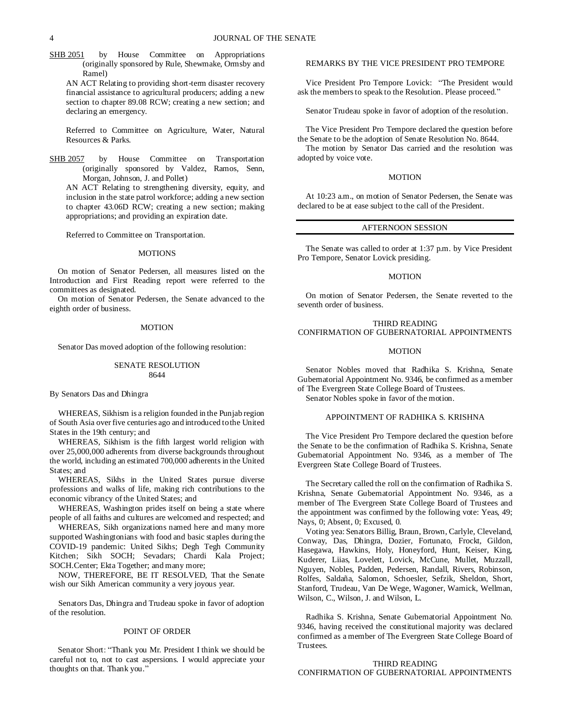SHB 2051 by House Committee on Appropriations (originally sponsored by Rule, Shewmake, Ormsby and Ramel)

AN ACT Relating to providing short-term disaster recovery financial assistance to agricultural producers; adding a new section to chapter 89.08 RCW; creating a new section; and declaring an emergency.

Referred to Committee on Agriculture, Water, Natural Resources & Parks.

SHB 2057 by House Committee on Transportation (originally sponsored by Valdez, Ramos, Senn, Morgan, Johnson, J. and Pollet)

AN ACT Relating to strengthening diversity, equity, and inclusion in the state patrol workforce; adding a new section to chapter 43.06D RCW; creating a new section; making appropriations; and providing an expiration date.

Referred to Committee on Transportation.

#### **MOTIONS**

On motion of Senator Pedersen, all measures listed on the Introduction and First Reading report were referred to the committees as designated.

On motion of Senator Pedersen, the Senate advanced to the eighth order of business.

#### MOTION

Senator Das moved adoption of the following resolution:

## SENATE RESOLUTION 8644

#### By Senators Das and Dhingra

WHEREAS, Sikhism is a religion founded in the Punjab region of South Asia over five centuries ago and introduced to the United States in the 19th century; and

WHEREAS, Sikhism is the fifth largest world religion with over 25,000,000 adherents from diverse backgrounds throughout the world, including an estimated 700,000 adherents in the United States; and

WHEREAS, Sikhs in the United States pursue diverse professions and walks of life, making rich contributions to the economic vibrancy of the United States; and

WHEREAS, Washington prides itself on being a state where people of all faiths and cultures are welcomed and respected; and

WHEREAS, Sikh organizations named here and many more supported Washingtonians with food and basic staples during the COVID-19 pandemic: United Sikhs; Degh Tegh Community Kitchen; Sikh SOCH; Sevadars; Chardi Kala Project; SOCH.Center; Ekta Together; and many more;

NOW, THEREFORE, BE IT RESOLVED, That the Senate wish our Sikh American community a very joyous year.

Senators Das, Dhingra and Trudeau spoke in favor of adoption of the resolution.

### POINT OF ORDER

Senator Short: "Thank you Mr. President I think we should be careful not to, not to cast aspersions. I would appreciate your thoughts on that. Thank you.'

#### REMARKS BY THE VICE PRESIDENT PRO TEMPORE

Vice President Pro Tempore Lovick: "The President would ask the members to speak to the Resolution. Please proceed."

Senator Trudeau spoke in favor of adoption of the resolution.

The Vice President Pro Tempore declared the question before the Senate to be the adoption of Senate Resolution No. 8644.

The motion by Senator Das carried and the resolution was adopted by voice vote.

### MOTION

At 10:23 a.m., on motion of Senator Pedersen, the Senate was declared to be at ease subject to the call of the President.

## AFTERNOON SESSION

The Senate was called to order at 1:37 p.m. by Vice President Pro Tempore, Senator Lovick presiding.

### MOTION

On motion of Senator Pedersen, the Senate reverted to the seventh order of business.

## THIRD READING CONFIRMATION OF GUBERNATORIAL APPOINTMENTS

#### MOTION

Senator Nobles moved that Radhika S. Krishna, Senate Gubernatorial Appointment No. 9346, be confirmed as a member of The Evergreen State College Board of Trustees.

Senator Nobles spoke in favor of the motion.

#### APPOINTMENT OF RADHIKA S. KRISHNA

The Vice President Pro Tempore declared the question before the Senate to be the confirmation of Radhika S. Krishna, Senate Gubernatorial Appointment No. 9346, as a member of The Evergreen State College Board of Trustees.

The Secretary called the roll on the confirmation of Radhika S. Krishna, Senate Gubernatorial Appointment No. 9346, as a member of The Evergreen State College Board of Trustees and the appointment was confirmed by the following vote: Yeas, 49; Nays, 0; Absent, 0; Excused, 0.

Voting yea: Senators Billig, Braun, Brown, Carlyle, Cleveland, Conway, Das, Dhingra, Dozier, Fortunato, Frockt, Gildon, Hasegawa, Hawkins, Holy, Honeyford, Hunt, Keiser, King, Kuderer, Liias, Lovelett, Lovick, McCune, Mullet, Muzzall, Nguyen, Nobles, Padden, Pedersen, Randall, Rivers, Robinson, Rolfes, Saldaña, Salomon, Schoesler, Sefzik, Sheldon, Short, Stanford, Trudeau, Van De Wege, Wagoner, Warnick, Wellman, Wilson, C., Wilson, J. and Wilson, L.

Radhika S. Krishna, Senate Gubernatorial Appointment No. 9346, having received the constitutional majority was declared confirmed as a member of The Evergreen State College Board of Trustees.

#### THIRD READING CONFIRMATION OF GUBERNATORIAL APPOINTMENTS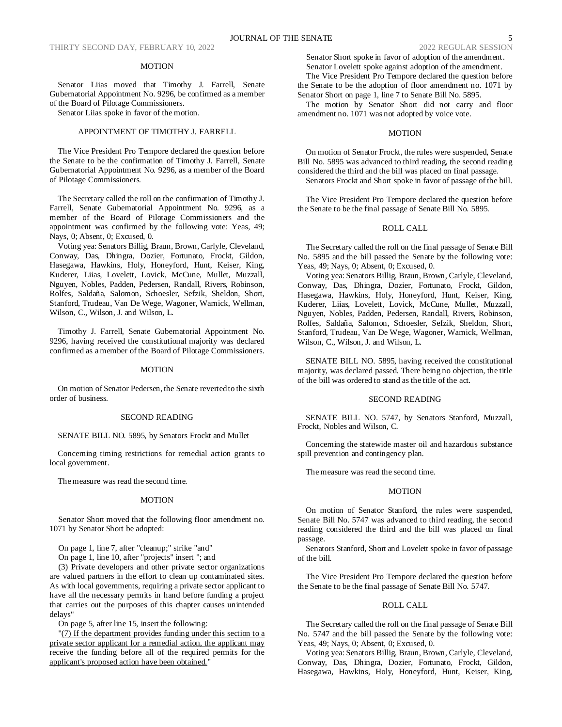### **MOTION**

Senator Liias moved that Timothy J. Farrell, Senate Gubernatorial Appointment No. 9296, be confirmed as a member of the Board of Pilotage Commissioners.

Senator Liias spoke in favor of the motion.

## APPOINTMENT OF TIMOTHY J. FARRELL

The Vice President Pro Tempore declared the question before the Senate to be the confirmation of Timothy J. Farrell, Senate Gubernatorial Appointment No. 9296, as a member of the Board of Pilotage Commissioners.

The Secretary called the roll on the confirmation of Timothy J. Farrell, Senate Gubernatorial Appointment No. 9296, as a member of the Board of Pilotage Commissioners and the appointment was confirmed by the following vote: Yeas, 49; Nays, 0; Absent, 0; Excused, 0.

Voting yea: Senators Billig, Braun, Brown, Carlyle, Cleveland, Conway, Das, Dhingra, Dozier, Fortunato, Frockt, Gildon, Hasegawa, Hawkins, Holy, Honeyford, Hunt, Keiser, King, Kuderer, Liias, Lovelett, Lovick, McCune, Mullet, Muzzall, Nguyen, Nobles, Padden, Pedersen, Randall, Rivers, Robinson, Rolfes, Saldaña, Salomon, Schoesler, Sefzik, Sheldon, Short, Stanford, Trudeau, Van De Wege, Wagoner, Warnick, Wellman, Wilson, C., Wilson, J. and Wilson, L.

Timothy J. Farrell, Senate Gubernatorial Appointment No. 9296, having received the constitutional majority was declared confirmed as a member of the Board of Pilotage Commissioners.

#### MOTION

On motion of Senator Pedersen, the Senate reverted to the sixth order of business.

#### SECOND READING

#### SENATE BILL NO. 5895, by Senators Frockt and Mullet

Concerning timing restrictions for remedial action grants to local government.

The measure was read the second time.

### MOTION

Senator Short moved that the following floor amendment no. 1071 by Senator Short be adopted:

On page 1, line 7, after "cleanup;" strike "and"

On page 1, line 10, after "projects" insert "; and

(3) Private developers and other private sector organizations are valued partners in the effort to clean up contaminated sites. As with local governments, requiring a private sector applicant to have all the necessary permits in hand before funding a project that carries out the purposes of this chapter causes unintended delays"

On page 5, after line 15, insert the following:

"(7) If the department provides funding under this section to a private sector applicant for a remedial action, the applicant may receive the funding before all of the required permits for the applicant's proposed action have been obtained."

Senator Short spoke in favor of adoption of the amendment. Senator Lovelett spoke against adoption of the amendment.

The Vice President Pro Tempore declared the question before the Senate to be the adoption of floor amendment no. 1071 by Senator Short on page 1, line 7 to Senate Bill No. 5895.

The motion by Senator Short did not carry and floor amendment no. 1071 was not adopted by voice vote.

### MOTION

On motion of Senator Frockt, the rules were suspended, Senate Bill No. 5895 was advanced to third reading, the second reading considered the third and the bill was placed on final passage. Senators Frockt and Short spoke in favor of passage of the bill.

The Vice President Pro Tempore declared the question before the Senate to be the final passage of Senate Bill No. 5895.

### ROLL CALL

The Secretary called the roll on the final passage of Senate Bill No. 5895 and the bill passed the Senate by the following vote: Yeas, 49; Nays, 0; Absent, 0; Excused, 0.

Voting yea: Senators Billig, Braun, Brown, Carlyle, Cleveland, Conway, Das, Dhingra, Dozier, Fortunato, Frockt, Gildon, Hasegawa, Hawkins, Holy, Honeyford, Hunt, Keiser, King, Kuderer, Liias, Lovelett, Lovick, McCune, Mullet, Muzzall, Nguyen, Nobles, Padden, Pedersen, Randall, Rivers, Robinson, Rolfes, Saldaña, Salomon, Schoesler, Sefzik, Sheldon, Short, Stanford, Trudeau, Van De Wege, Wagoner, Warnick, Wellman, Wilson, C., Wilson, J. and Wilson, L.

SENATE BILL NO. 5895, having received the constitutional majority, was declared passed. There being no objection, the title of the bill was ordered to stand as the title of the act.

### SECOND READING

SENATE BILL NO. 5747, by Senators Stanford, Muzzall, Frockt, Nobles and Wilson, C.

Concerning the statewide master oil and hazardous substance spill prevention and contingency plan.

The measure was read the second time.

#### MOTION

On motion of Senator Stanford, the rules were suspended, Senate Bill No. 5747 was advanced to third reading, the second reading considered the third and the bill was placed on final passage.

Senators Stanford, Short and Lovelett spoke in favor of passage of the bill.

The Vice President Pro Tempore declared the question before the Senate to be the final passage of Senate Bill No. 5747.

#### ROLL CALL

The Secretary called the roll on the final passage of Senate Bill No. 5747 and the bill passed the Senate by the following vote: Yeas, 49; Nays, 0; Absent, 0; Excused, 0.

Voting yea: Senators Billig, Braun, Brown, Carlyle, Cleveland, Conway, Das, Dhingra, Dozier, Fortunato, Frockt, Gildon, Hasegawa, Hawkins, Holy, Honeyford, Hunt, Keiser, King,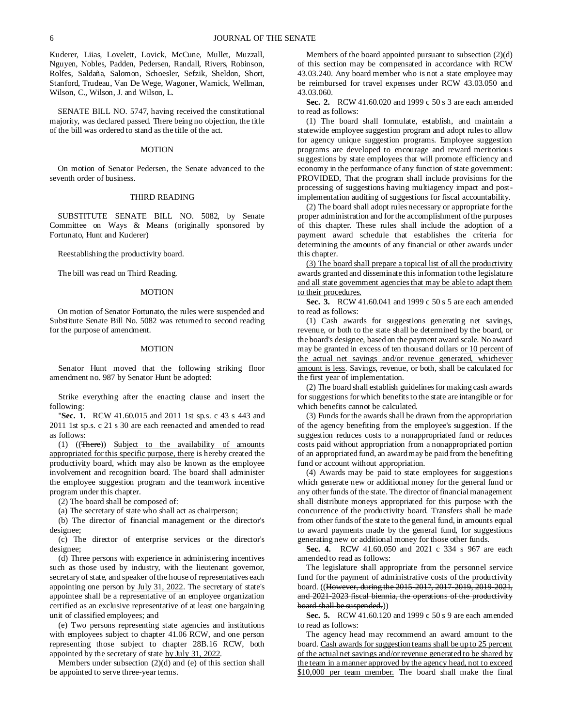Kuderer, Liias, Lovelett, Lovick, McCune, Mullet, Muzzall, Nguyen, Nobles, Padden, Pedersen, Randall, Rivers, Robinson, Rolfes, Saldaña, Salomon, Schoesler, Sefzik, Sheldon, Short, Stanford, Trudeau, Van De Wege, Wagoner, Warnick, Wellman, Wilson, C., Wilson, J. and Wilson, L.

SENATE BILL NO. 5747, having received the constitutional majority, was declared passed. There being no objection, the title of the bill was ordered to stand as the title of the act.

#### **MOTION**

On motion of Senator Pedersen, the Senate advanced to the seventh order of business.

#### THIRD READING

SUBSTITUTE SENATE BILL NO. 5082, by Senate Committee on Ways & Means (originally sponsored by Fortunato, Hunt and Kuderer)

Reestablishing the productivity board.

The bill was read on Third Reading.

#### MOTION

On motion of Senator Fortunato, the rules were suspended and Substitute Senate Bill No. 5082 was returned to second reading for the purpose of amendment.

#### MOTION

Senator Hunt moved that the following striking floor amendment no. 987 by Senator Hunt be adopted:

Strike everything after the enacting clause and insert the following:

"**Sec. 1.** RCW 41.60.015 and 2011 1st sp.s. c 43 s 443 and 2011 1st sp.s. c 21 s 30 are each reenacted and amended to read as follows:

(1) ((There)) Subject to the availability of amounts appropriated for this specific purpose, there is hereby created the productivity board, which may also be known as the employee involvement and recognition board. The board shall administer the employee suggestion program and the teamwork incentive program under this chapter.

(2) The board shall be composed of:

(a) The secretary of state who shall act as chairperson;

(b) The director of financial management or the director's designee;

(c) The director of enterprise services or the director's designee;

(d) Three persons with experience in administering incentives such as those used by industry, with the lieutenant governor, secretary of state, and speaker of the house of representatives each appointing one person by July 31, 2022. The secretary of state's appointee shall be a representative of an employee organization certified as an exclusive representative of at least one bargaining unit of classified employees; and

(e) Two persons representing state agencies and institutions with employees subject to chapter 41.06 RCW, and one person representing those subject to chapter 28B.16 RCW, both appointed by the secretary of state by July 31, 2022.

Members under subsection (2)(d) and (e) of this section shall be appointed to serve three-year terms.

Members of the board appointed pursuant to subsection (2)(d) of this section may be compensated in accordance with RCW 43.03.240. Any board member who is not a state employee may be reimbursed for travel expenses under RCW 43.03.050 and 43.03.060.

**Sec. 2.** RCW 41.60.020 and 1999 c 50 s 3 are each amended to read as follows:

(1) The board shall formulate, establish, and maintain a statewide employee suggestion program and adopt rules to allow for agency unique suggestion programs. Employee suggestion programs are developed to encourage and reward meritorious suggestions by state employees that will promote efficiency and economy in the performance of any function of state government: PROVIDED, That the program shall include provisions for the processing of suggestions having multiagency impact and postimplementation auditing of suggestions for fiscal accountability.

(2) The board shall adopt rules necessary or appropriate for the proper administration and for the accomplishment of the purposes of this chapter. These rules shall include the adoption of a payment award schedule that establishes the criteria for determining the amounts of any financial or other awards under this chapter.

(3) The board shall prepare a topical list of all the productivity awards granted and disseminate this information to the legislature and all state government agencies that may be able to adapt them to their procedures.

**Sec. 3.** RCW 41.60.041 and 1999 c 50 s 5 are each amended to read as follows:

(1) Cash awards for suggestions generating net savings, revenue, or both to the state shall be determined by the board, or the board's designee, based on the payment award scale. No award may be granted in excess of ten thousand dollars or 10 percent of the actual net savings and/or revenue generated, whichever amount is less. Savings, revenue, or both, shall be calculated for the first year of implementation.

(2) The board shall establish guidelines for making cash awards for suggestions for which benefits to the state are intangible or for which benefits cannot be calculated.

(3) Funds for the awards shall be drawn from the appropriation of the agency benefiting from the employee's suggestion. If the suggestion reduces costs to a nonappropriated fund or reduces costs paid without appropriation from a nonappropriated portion of an appropriated fund, an award may be paid from the benefiting fund or account without appropriation.

(4) Awards may be paid to state employees for suggestions which generate new or additional money for the general fund or any other funds of the state. The director of financial management shall distribute moneys appropriated for this purpose with the concurrence of the productivity board. Transfers shall be made from other funds of the state to the general fund, in amounts equal to award payments made by the general fund, for suggestions generating new or additional money for those other funds.

**Sec. 4.** RCW 41.60.050 and 2021 c 334 s 967 are each amended to read as follows:

The legislature shall appropriate from the personnel service fund for the payment of administrative costs of the productivity board. ((However, during the 2015-2017, 2017-2019, 2019-2021, and 2021-2023 fiscal biennia, the operations of the productivity board shall be suspended.))

**Sec. 5.** RCW 41.60.120 and 1999 c 50 s 9 are each amended to read as follows:

The agency head may recommend an award amount to the board. Cash awards for suggestion teams shall be up to 25 percent of the actual net savings and/or revenue generated to be shared by the team in a manner approved by the agency head, not to exceed \$10,000 per team member. The board shall make the final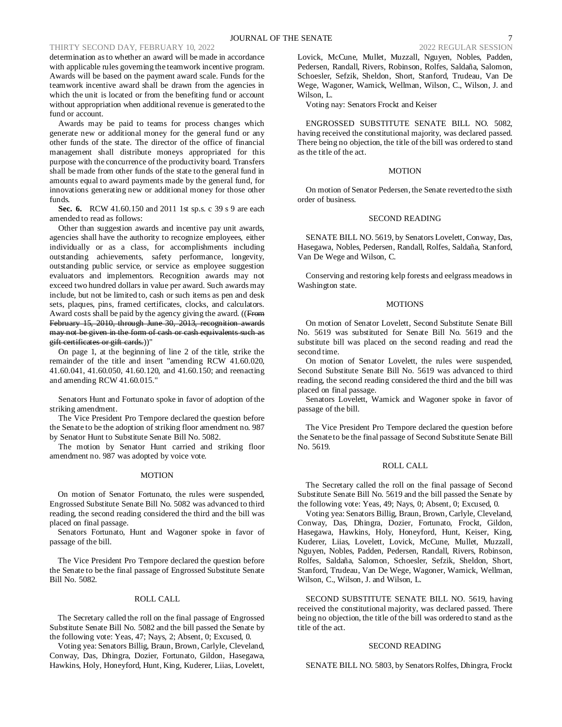determination as to whether an award will be made in accordance with applicable rules governing the teamwork incentive program. Awards will be based on the payment award scale. Funds for the teamwork incentive award shall be drawn from the agencies in which the unit is located or from the benefiting fund or account without appropriation when additional revenue is generated to the fund or account.

Awards may be paid to teams for process changes which generate new or additional money for the general fund or any other funds of the state. The director of the office of financial management shall distribute moneys appropriated for this purpose with the concurrence of the productivity board. Transfers shall be made from other funds of the state to the general fund in amounts equal to award payments made by the general fund, for innovations generating new or additional money for those other funds.

**Sec. 6.** RCW 41.60.150 and 2011 1st sp.s. c 39 s 9 are each amended to read as follows:

Other than suggestion awards and incentive pay unit awards, agencies shall have the authority to recognize employees, either individually or as a class, for accomplishments including outstanding achievements, safety performance, longevity, outstanding public service, or service as employee suggestion evaluators and implementors. Recognition awards may not exceed two hundred dollars in value per award. Such awards may include, but not be limited to, cash or such items as pen and desk sets, plaques, pins, framed certificates, clocks, and calculators. Award costs shall be paid by the agency giving the award. ((From February 15, 2010, through June 30, 2013, recognition awards may not be given in the form of cash or cash equivalents such as gift certificates or gift cards.))"

On page 1, at the beginning of line 2 of the title, strike the remainder of the title and insert "amending RCW 41.60.020, 41.60.041, 41.60.050, 41.60.120, and 41.60.150; and reenacting and amending RCW 41.60.015."

Senators Hunt and Fortunato spoke in favor of adoption of the striking amendment.

The Vice President Pro Tempore declared the question before the Senate to be the adoption of striking floor amendment no. 987 by Senator Hunt to Substitute Senate Bill No. 5082.

The motion by Senator Hunt carried and striking floor amendment no. 987 was adopted by voice vote.

### **MOTION**

On motion of Senator Fortunato, the rules were suspended, Engrossed Substitute Senate Bill No. 5082 was advanced to third reading, the second reading considered the third and the bill was placed on final passage.

Senators Fortunato, Hunt and Wagoner spoke in favor of passage of the bill.

The Vice President Pro Tempore declared the question before the Senate to be the final passage of Engrossed Substitute Senate Bill No. 5082.

#### ROLL CALL

The Secretary called the roll on the final passage of Engrossed Substitute Senate Bill No. 5082 and the bill passed the Senate by the following vote: Yeas, 47; Nays, 2; Absent, 0; Excused, 0.

Voting yea: Senators Billig, Braun, Brown, Carlyle, Cleveland, Conway, Das, Dhingra, Dozier, Fortunato, Gildon, Hasegawa, Hawkins, Holy, Honeyford, Hunt, King, Kuderer, Liias, Lovelett, Lovick, McCune, Mullet, Muzzall, Nguyen, Nobles, Padden, Pedersen, Randall, Rivers, Robinson, Rolfes, Saldaña, Salomon, Schoesler, Sefzik, Sheldon, Short, Stanford, Trudeau, Van De Wege, Wagoner, Warnick, Wellman, Wilson, C., Wilson, J. and Wilson, L.

Voting nay: Senators Frockt and Keiser

ENGROSSED SUBSTITUTE SENATE BILL NO. 5082, having received the constitutional majority, was declared passed. There being no objection, the title of the bill was ordered to stand as the title of the act.

### **MOTION**

On motion of Senator Pedersen, the Senate reverted to the sixth order of business.

### SECOND READING

SENATE BILL NO. 5619, by Senators Lovelett, Conway, Das, Hasegawa, Nobles, Pedersen, Randall, Rolfes, Saldaña, Stanford, Van De Wege and Wilson, C.

Conserving and restoring kelp forests and eelgrass meadows in Washington state.

### MOTIONS

On motion of Senator Lovelett, Second Substitute Senate Bill No. 5619 was substituted for Senate Bill No. 5619 and the substitute bill was placed on the second reading and read the second time.

On motion of Senator Lovelett, the rules were suspended, Second Substitute Senate Bill No. 5619 was advanced to third reading, the second reading considered the third and the bill was placed on final passage.

Senators Lovelett, Warnick and Wagoner spoke in favor of passage of the bill.

The Vice President Pro Tempore declared the question before the Senate to be the final passage of Second Substitute Senate Bill No. 5619.

## ROLL CALL

The Secretary called the roll on the final passage of Second Substitute Senate Bill No. 5619 and the bill passed the Senate by the following vote: Yeas, 49; Nays, 0; Absent, 0; Excused, 0.

Voting yea: Senators Billig, Braun, Brown, Carlyle, Cleveland, Conway, Das, Dhingra, Dozier, Fortunato, Frockt, Gildon, Hasegawa, Hawkins, Holy, Honeyford, Hunt, Keiser, King, Kuderer, Liias, Lovelett, Lovick, McCune, Mullet, Muzzall, Nguyen, Nobles, Padden, Pedersen, Randall, Rivers, Robinson, Rolfes, Saldaña, Salomon, Schoesler, Sefzik, Sheldon, Short, Stanford, Trudeau, Van De Wege, Wagoner, Warnick, Wellman, Wilson, C., Wilson, J. and Wilson, L.

SECOND SUBSTITUTE SENATE BILL NO. 5619, having received the constitutional majority, was declared passed. There being no objection, the title of the bill was ordered to stand as the title of the act.

#### SECOND READING

SENATE BILL NO. 5803, by Senators Rolfes, Dhingra, Frockt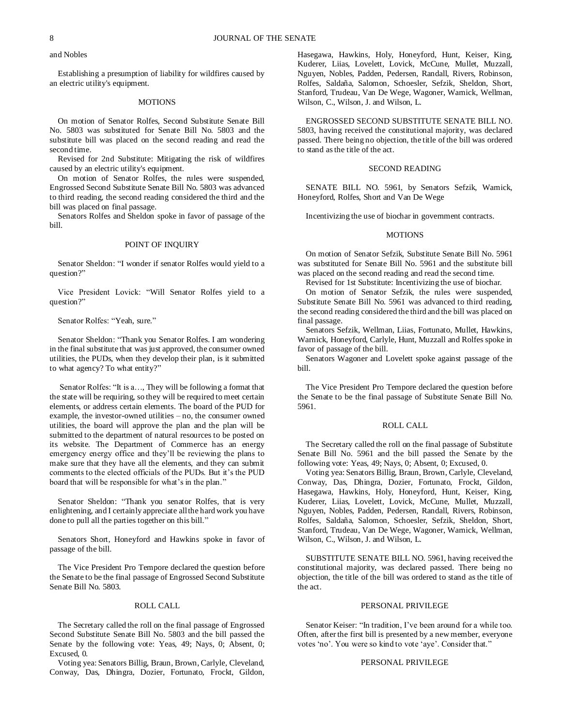## and Nobles

Establishing a presumption of liability for wildfires caused by an electric utility's equipment.

### **MOTIONS**

On motion of Senator Rolfes, Second Substitute Senate Bill No. 5803 was substituted for Senate Bill No. 5803 and the substitute bill was placed on the second reading and read the second time.

Revised for 2nd Substitute: Mitigating the risk of wildfires caused by an electric utility's equipment.

On motion of Senator Rolfes, the rules were suspended, Engrossed Second Substitute Senate Bill No. 5803 was advanced to third reading, the second reading considered the third and the bill was placed on final passage.

Senators Rolfes and Sheldon spoke in favor of passage of the bill.

## POINT OF INQUIRY

Senator Sheldon: "I wonder if senator Rolfes would yield to a question?"

Vice President Lovick: "Will Senator Rolfes yield to a question?"

### Senator Rolfes: "Yeah, sure."

Senator Sheldon: "Thank you Senator Rolfes. I am wondering in the final substitute that was just approved, the consumer owned utilities, the PUDs, when they develop their plan, is it submitted to what agency? To what entity?"

Senator Rolfes: "It is a…, They will be following a format that the state will be requiring, so they will be required to meet certain elements, or address certain elements. The board of the PUD for example, the investor-owned utilities – no, the consumer owned utilities, the board will approve the plan and the plan will be submitted to the department of natural resources to be posted on its website. The Department of Commerce has an energy emergency energy office and they'll be reviewing the plans to make sure that they have all the elements, and they can submit comments to the elected officials of the PUDs. But it's the PUD board that will be responsible for what's in the plan."

Senator Sheldon: "Thank you senator Rolfes, that is very enlightening, and I certainly appreciate all the hard work you have done to pull all the parties together on this bill."

Senators Short, Honeyford and Hawkins spoke in favor of passage of the bill.

The Vice President Pro Tempore declared the question before the Senate to be the final passage of Engrossed Second Substitute Senate Bill No. 5803.

## ROLL CALL

The Secretary called the roll on the final passage of Engrossed Second Substitute Senate Bill No. 5803 and the bill passed the Senate by the following vote: Yeas, 49; Nays, 0; Absent, 0; Excused, 0.

Voting yea: Senators Billig, Braun, Brown, Carlyle, Cleveland, Conway, Das, Dhingra, Dozier, Fortunato, Frockt, Gildon, Hasegawa, Hawkins, Holy, Honeyford, Hunt, Keiser, King, Kuderer, Liias, Lovelett, Lovick, McCune, Mullet, Muzzall, Nguyen, Nobles, Padden, Pedersen, Randall, Rivers, Robinson, Rolfes, Saldaña, Salomon, Schoesler, Sefzik, Sheldon, Short, Stanford, Trudeau, Van De Wege, Wagoner, Warnick, Wellman, Wilson, C., Wilson, J. and Wilson, L.

ENGROSSED SECOND SUBSTITUTE SENATE BILL NO. 5803, having received the constitutional majority, was declared passed. There being no objection, the title of the bill was ordered to stand as the title of the act.

### SECOND READING

SENATE BILL NO. 5961, by Senators Sefzik, Warnick, Honeyford, Rolfes, Short and Van De Wege

Incentivizing the use of biochar in government contracts.

#### MOTIONS

On motion of Senator Sefzik, Substitute Senate Bill No. 5961 was substituted for Senate Bill No. 5961 and the substitute bill was placed on the second reading and read the second time.

Revised for 1st Substitute: Incentivizing the use of biochar.

On motion of Senator Sefzik, the rules were suspended, Substitute Senate Bill No. 5961 was advanced to third reading, the second reading considered the third and the bill was placed on final passage.

Senators Sefzik, Wellman, Liias, Fortunato, Mullet, Hawkins, Warnick, Honeyford, Carlyle, Hunt, Muzzall and Rolfes spoke in favor of passage of the bill.

Senators Wagoner and Lovelett spoke against passage of the bill.

The Vice President Pro Tempore declared the question before the Senate to be the final passage of Substitute Senate Bill No. 5961.

### ROLL CALL

The Secretary called the roll on the final passage of Substitute Senate Bill No. 5961 and the bill passed the Senate by the following vote: Yeas, 49; Nays, 0; Absent, 0; Excused, 0.

Voting yea: Senators Billig, Braun, Brown, Carlyle, Cleveland, Conway, Das, Dhingra, Dozier, Fortunato, Frockt, Gildon, Hasegawa, Hawkins, Holy, Honeyford, Hunt, Keiser, King, Kuderer, Liias, Lovelett, Lovick, McCune, Mullet, Muzzall, Nguyen, Nobles, Padden, Pedersen, Randall, Rivers, Robinson, Rolfes, Saldaña, Salomon, Schoesler, Sefzik, Sheldon, Short, Stanford, Trudeau, Van De Wege, Wagoner, Warnick, Wellman, Wilson, C., Wilson, J. and Wilson, L.

SUBSTITUTE SENATE BILL NO. 5961, having received the constitutional majority, was declared passed. There being no objection, the title of the bill was ordered to stand as the title of the act.

### PERSONAL PRIVILEGE

Senator Keiser: "In tradition, I've been around for a while too. Often, after the first bill is presented by a new member, everyone votes 'no'. You were so kind to vote 'aye'. Consider that."

### PERSONAL PRIVILEGE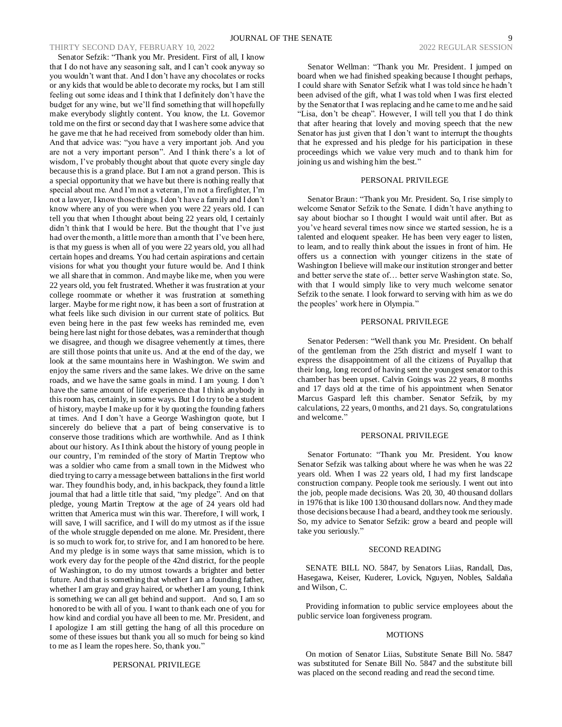Senator Sefzik: "Thank you Mr. President. First of all, I know that I do not have any seasoning salt, and I can't cook anyway so you wouldn't want that. And I don't have any chocolates or rocks or any kids that would be able to decorate my rocks, but I am still feeling out some ideas and I think that I definitely don't have the budget for any wine, but we'll find something that will hopefully make everybody slightly content. You know, the Lt. Governor told me on the first or second day that I was here some advice that he gave me that he had received from somebody older than him. And that advice was: "you have a very important job. And you are not a very important person". And I think there's a lot of wisdom, I've probably thought about that quote every single day because this is a grand place. But I am not a grand person. This is a special opportunity that we have but there is nothing really that special about me. And I'm not a veteran, I'm not a firefighter, I'm not a lawyer, I know those things. I don't have a family and I don't know where any of you were when you were 22 years old. I can tell you that when I thought about being 22 years old, I certainly didn't think that I would be here. But the thought that I've just had over the month, a little more than a month that I've been here, is that my guess is when all of you were 22 years old, you all had certain hopes and dreams. You had certain aspirations and certain visions for what you thought your future would be. And I think we all share that in common. And maybe like me, when you were 22 years old, you felt frustrated. Whether it was frustration at your college roommate or whether it was frustration at something larger. Maybe for me right now, it has been a sort of frustration at what feels like such division in our current state of politics. But even being here in the past few weeks has reminded me, even being here last night for those debates, was a reminder that though we disagree, and though we disagree vehemently at times, there are still those points that unite us. And at the end of the day, we look at the same mountains here in Washington. We swim and enjoy the same rivers and the same lakes. We drive on the same roads, and we have the same goals in mind. I am young. I don't have the same amount of life experience that I think anybody in this room has, certainly, in some ways. But I do try to be a student of history, maybe I make up for it by quoting the founding fathers at times. And I don't have a George Washington quote, but I sincerely do believe that a part of being conservative is to conserve those traditions which are worthwhile. And as I think about our history. As I think about the history of young people in our country, I'm reminded of the story of Martin Treptow who was a soldier who came from a small town in the Midwest who died trying to carry a message between battalions in the first world war. They found his body, and, in his backpack, they found a little journal that had a little title that said, "my pledge". And on that pledge, young Martin Treptow at the age of 24 years old had written that America must win this war. Therefore, I will work, I will save, I will sacrifice, and I will do my utmost as if the issue of the whole struggle depended on me alone. Mr. President, there is so much to work for, to strive for, and I am honored to be here. And my pledge is in some ways that same mission, which is to work every day for the people of the 42nd district, for the people of Washington, to do my utmost towards a brighter and better future. And that is something that whether I am a founding father, whether I am gray and gray haired, or whether I am young, I think is something we can all get behind and support. And so, I am so honored to be with all of you. I want to thank each one of you for how kind and cordial you have all been to me. Mr. President, and I apologize I am still getting the hang of all this procedure on some of these issues but thank you all so much for being so kind to me as I learn the ropes here. So, thank you."

## PERSONAL PRIVILEGE

Senator Wellman: "Thank you Mr. President. I jumped on board when we had finished speaking because I thought perhaps, I could share with Senator Sefzik what I was told since he hadn't been advised of the gift, what I was told when I was first elected by the Senator that I was replacing and he came to me and he said "Lisa, don't be cheap". However, I will tell you that I do think that after hearing that lovely and moving speech that the new Senator has just given that I don't want to interrupt the thoughts that he expressed and his pledge for his participation in these proceedings which we value very much and to thank him for joining us and wishing him the best."

#### PERSONAL PRIVILEGE

Senator Braun: "Thank you Mr. President. So, I rise simply to welcome Senator Sefzik to the Senate. I didn't have anything to say about biochar so I thought I would wait until after. But as you've heard several times now since we started session, he is a talented and eloquent speaker. He has been very eager to listen, to learn, and to really think about the issues in front of him. He offers us a connection with younger citizens in the state of Washington I believe will make our institution stronger and better and better serve the state of… better serve Washington state. So, with that I would simply like to very much welcome senator Sefzik to the senate. I look forward to serving with him as we do the peoples' work here in Olympia."

#### PERSONAL PRIVILEGE

Senator Pedersen: "Well thank you Mr. President. On behalf of the gentleman from the 25th district and myself I want to express the disappointment of all the citizens of Puyallup that their long, long record of having sent the youngest senator to this chamber has been upset. Calvin Goings was 22 years, 8 months and 17 days old at the time of his appointment when Senator Marcus Gaspard left this chamber. Senator Sefzik, by my calculations, 22 years, 0 months, and 21 days. So, congratulations and welcome."

#### PERSONAL PRIVILEGE

Senator Fortunato: "Thank you Mr. President. You know Senator Sefzik was talking about where he was when he was 22 years old. When I was 22 years old, I had my first landscape construction company. People took me seriously. I went out into the job, people made decisions. Was 20, 30, 40 thousand dollars in 1976 that is like 100 130 thousand dollars now. And they made those decisions because I had a beard, and they took me seriously. So, my advice to Senator Sefzik: grow a beard and people will take you seriously."

#### SECOND READING

SENATE BILL NO. 5847, by Senators Liias, Randall, Das, Hasegawa, Keiser, Kuderer, Lovick, Nguyen, Nobles, Saldaña and Wilson, C.

Providing information to public service employees about the public service loan forgiveness program.

### **MOTIONS**

On motion of Senator Liias, Substitute Senate Bill No. 5847 was substituted for Senate Bill No. 5847 and the substitute bill was placed on the second reading and read the second time.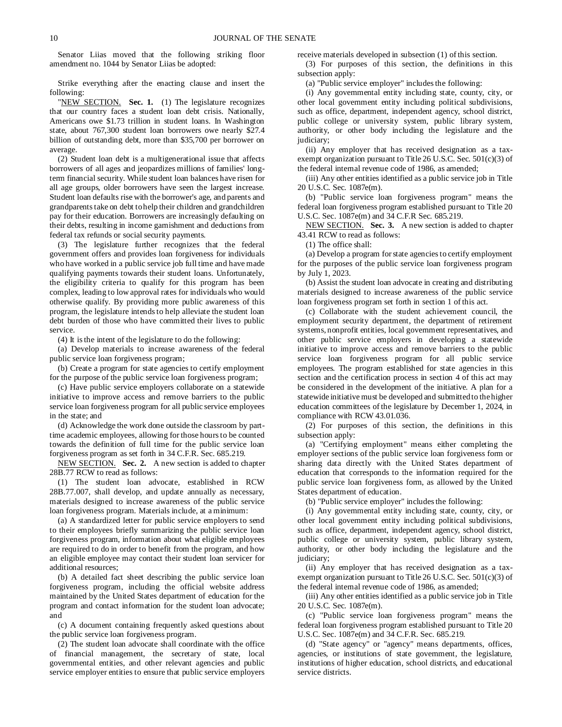Senator Liias moved that the following striking floor amendment no. 1044 by Senator Liias be adopted:

Strike everything after the enacting clause and insert the following:

"NEW SECTION. **Sec. 1.** (1) The legislature recognizes that our country faces a student loan debt crisis. Nationally, Americans owe \$1.73 trillion in student loans. In Washington state, about 767,300 student loan borrowers owe nearly \$27.4 billion of outstanding debt, more than \$35,700 per borrower on average.

(2) Student loan debt is a multigenerational issue that affects borrowers of all ages and jeopardizes millions of families' longterm financial security. While student loan balances have risen for all age groups, older borrowers have seen the largest increase. Student loan defaults rise with the borrower's age, and parents and grandparents take on debt to help their children and grandchildren pay for their education. Borrowers are increasingly defaulting on their debts, resulting in income garnishment and deductions from federal tax refunds or social security payments.

(3) The legislature further recognizes that the federal government offers and provides loan forgiveness for individuals who have worked in a public service job full time and have made qualifying payments towards their student loans. Unfortunately, the eligibility criteria to qualify for this program has been complex, leading to low approval rates for individuals who would otherwise qualify. By providing more public awareness of this program, the legislature intends to help alleviate the student loan debt burden of those who have committed their lives to public service.

(4) It is the intent of the legislature to do the following:

(a) Develop materials to increase awareness of the federal public service loan forgiveness program;

(b) Create a program for state agencies to certify employment for the purpose of the public service loan forgiveness program;

(c) Have public service employers collaborate on a statewide initiative to improve access and remove barriers to the public service loan forgiveness program for all public service employees in the state; and

(d) Acknowledge the work done outside the classroom by parttime academic employees, allowing for those hours to be counted towards the definition of full time for the public service loan forgiveness program as set forth in 34 C.F.R. Sec. 685.219.

NEW SECTION. **Sec. 2.** A new section is added to chapter 28B.77 RCW to read as follows:

(1) The student loan advocate, established in RCW 28B.77.007, shall develop, and update annually as necessary, materials designed to increase awareness of the public service loan forgiveness program. Materials include, at a minimum:

(a) A standardized letter for public service employers to send to their employees briefly summarizing the public service loan forgiveness program, information about what eligible employees are required to do in order to benefit from the program, and how an eligible employee may contact their student loan servicer for additional resources;

(b) A detailed fact sheet describing the public service loan forgiveness program, including the official website address maintained by the United States department of education for the program and contact information for the student loan advocate; and

(c) A document containing frequently asked questions about the public service loan forgiveness program.

(2) The student loan advocate shall coordinate with the office of financial management, the secretary of state, local governmental entities, and other relevant agencies and public service employer entities to ensure that public service employers receive materials developed in subsection (1) of this section.

(3) For purposes of this section, the definitions in this subsection apply:

(a) "Public service employer" includes the following:

(i) Any governmental entity including state, county, city, or other local government entity including political subdivisions, such as office, department, independent agency, school district, public college or university system, public library system, authority, or other body including the legislature and the judiciary;

(ii) Any employer that has received designation as a taxexempt organization pursuant to Title 26 U.S.C. Sec. 501(c)(3) of the federal internal revenue code of 1986, as amended;

(iii) Any other entities identified as a public service job in Title 20 U.S.C. Sec. 1087e(m).

(b) "Public service loan forgiveness program" means the federal loan forgiveness program established pursuant to Title 20 U.S.C. Sec. 1087e(m) and 34 C.F.R Sec. 685.219.

NEW SECTION. **Sec. 3.** A new section is added to chapter 43.41 RCW to read as follows:

(1) The office shall:

(a) Develop a program for state agencies to certify employment for the purposes of the public service loan forgiveness program by July 1, 2023.

(b) Assist the student loan advocate in creating and distributing materials designed to increase awareness of the public service loan forgiveness program set forth in section 1 of this act.

(c) Collaborate with the student achievement council, the employment security department, the department of retirement systems, nonprofit entities, local government representatives, and other public service employers in developing a statewide initiative to improve access and remove barriers to the public service loan forgiveness program for all public service employees. The program established for state agencies in this section and the certification process in section 4 of this act may be considered in the development of the initiative. A plan for a statewide initiative must be developed and submitted to the higher education committees of the legislature by December 1, 2024, in compliance with RCW 43.01.036.

(2) For purposes of this section, the definitions in this subsection apply:

(a) "Certifying employment" means either completing the employer sections of the public service loan forgiveness form or sharing data directly with the United States department of education that corresponds to the information required for the public service loan forgiveness form, as allowed by the United States department of education.

(b) "Public service employer" includes the following:

(i) Any governmental entity including state, county, city, or other local government entity including political subdivisions, such as office, department, independent agency, school district, public college or university system, public library system, authority, or other body including the legislature and the judiciary;

(ii) Any employer that has received designation as a taxexempt organization pursuant to Title 26 U.S.C. Sec. 501(c)(3) of the federal internal revenue code of 1986, as amended;

(iii) Any other entities identified as a public service job in Title 20 U.S.C. Sec. 1087e(m).

(c) "Public service loan forgiveness program" means the federal loan forgiveness program established pursuant to Title 20 U.S.C. Sec. 1087e(m) and 34 C.F.R. Sec. 685.219.

(d) "State agency" or "agency" means departments, offices, agencies, or institutions of state government, the legislature, institutions of higher education, school districts, and educational service districts.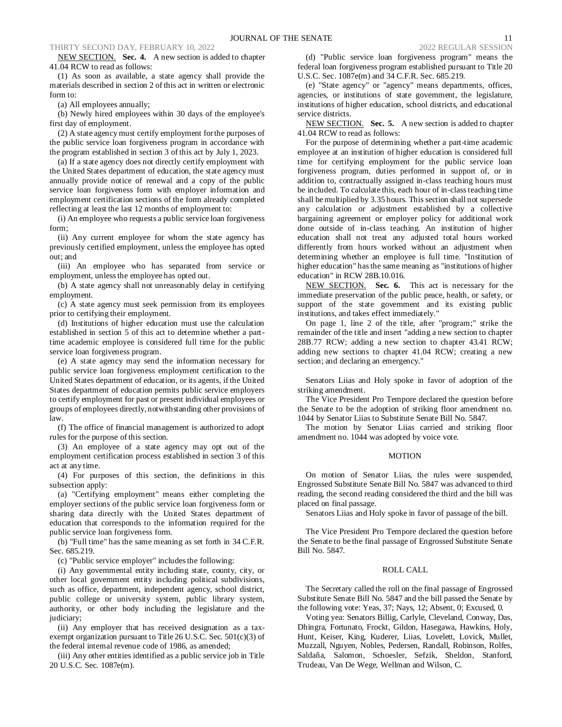NEW SECTION. **Sec. 4.** A new section is added to chapter 41.04 RCW to read as follows:

(1) As soon as available, a state agency shall provide the materials described in section 2 of this act in written or electronic form to:

(a) All employees annually;

(b) Newly hired employees within 30 days of the employee's first day of employment.

(2) A state agency must certify employment for the purposes of the public service loan forgiveness program in accordance with the program established in section 3 of this act by July 1, 2023.

(a) If a state agency does not directly certify employment with the United States department of education, the state agency must annually provide notice of renewal and a copy of the public service loan forgiveness form with employer information and employment certification sections of the form already completed reflecting at least the last 12 months of employment to:

(i) An employee who requests a public service loan forgiveness form;

(ii) Any current employee for whom the state agency has previously certified employment, unless the employee has opted out; and

(iii) An employee who has separated from service or employment, unless the employee has opted out.

(b) A state agency shall not unreasonably delay in certifying employment.

(c) A state agency must seek permission from its employees prior to certifying their employment.

(d) Institutions of higher education must use the calculation established in section 5 of this act to determine whether a parttime academic employee is considered full time for the public service loan forgiveness program.

(e) A state agency may send the information necessary for public service loan forgiveness employment certification to the United States department of education, or its agents, if the United States department of education permits public service employers to certify employment for past or present individual employees or groups of employees directly, notwithstanding other provisions of law.

(f) The office of financial management is authorized to adopt rules for the purpose of this section.

(3) An employee of a state agency may opt out of the employment certification process established in section 3 of this act at any time.

(4) For purposes of this section, the definitions in this subsection apply:

(a) "Certifying employment" means either completing the employer sections of the public service loan forgiveness form or sharing data directly with the United States department of education that corresponds to the information required for the public service loan forgiveness form.

(b) "Full time" has the same meaning as set forth in 34 C.F.R. Sec. 685.219.

(c) "Public service employer" includes the following:

(i) Any governmental entity including state, county, city, or other local government entity including political subdivisions, such as office, department, independent agency, school district, public college or university system, public library system, authority, or other body including the legislature and the judiciary;

(ii) Any employer that has received designation as a taxexempt organization pursuant to Title 26 U.S.C. Sec. 501(c)(3) of the federal internal revenue code of 1986, as amended;

(iii) Any other entities identified as a public service job in Title 20 U.S.C. Sec. 1087e(m).

(d) "Public service loan forgiveness program" means the federal loan forgiveness program established pursuant to Title 20 U.S.C. Sec. 1087e(m) and 34 C.F.R. Sec. 685.219.

(e) "State agency" or "agency" means departments, offices, agencies, or institutions of state government, the legislature, institutions of higher education, school districts, and educational service districts.

NEW SECTION. **Sec. 5.** A new section is added to chapter 41.04 RCW to read as follows:

For the purpose of determining whether a part-time academic employee at an institution of higher education is considered full time for certifying employment for the public service loan forgiveness program, duties performed in support of, or in addition to, contractually assigned in-class teaching hours must be included. To calculate this, each hour of in-class teaching time shall be multiplied by 3.35 hours. This section shall not supersede any calculation or adjustment established by a collective bargaining agreement or employer policy for additional work done outside of in-class teaching. An institution of higher education shall not treat any adjusted total hours worked differently from hours worked without an adjustment when determining whether an employee is full time. "Institution of higher education" has the same meaning as "institutions of higher education" in RCW 28B.10.016.

NEW SECTION. **Sec. 6.** This act is necessary for the immediate preservation of the public peace, health, or safety, or support of the state government and its existing public institutions, and takes effect immediately."

On page 1, line 2 of the title, after "program;" strike the remainder of the title and insert "adding a new section to chapter 28B.77 RCW; adding a new section to chapter 43.41 RCW; adding new sections to chapter 41.04 RCW; creating a new section; and declaring an emergency."

Senators Liias and Holy spoke in favor of adoption of the striking amendment.

The Vice President Pro Tempore declared the question before the Senate to be the adoption of striking floor amendment no. 1044 by Senator Liias to Substitute Senate Bill No. 5847.

The motion by Senator Liias carried and striking floor amendment no. 1044 was adopted by voice vote.

## MOTION

On motion of Senator Liias, the rules were suspended, Engrossed Substitute Senate Bill No. 5847 was advanced to third reading, the second reading considered the third and the bill was placed on final passage.

Senators Liias and Holy spoke in favor of passage of the bill.

The Vice President Pro Tempore declared the question before the Senate to be the final passage of Engrossed Substitute Senate Bill No. 5847.

#### ROLL CALL

The Secretary called the roll on the final passage of Engrossed Substitute Senate Bill No. 5847 and the bill passed the Senate by the following vote: Yeas, 37; Nays, 12; Absent, 0; Excused, 0.

Voting yea: Senators Billig, Carlyle, Cleveland, Conway, Das, Dhingra, Fortunato, Frockt, Gildon, Hasegawa, Hawkins, Holy, Hunt, Keiser, King, Kuderer, Liias, Lovelett, Lovick, Mullet, Muzzall, Nguyen, Nobles, Pedersen, Randall, Robinson, Rolfes, Saldaña, Salomon, Schoesler, Sefzik, Sheldon, Stanford, Trudeau, Van De Wege, Wellman and Wilson, C.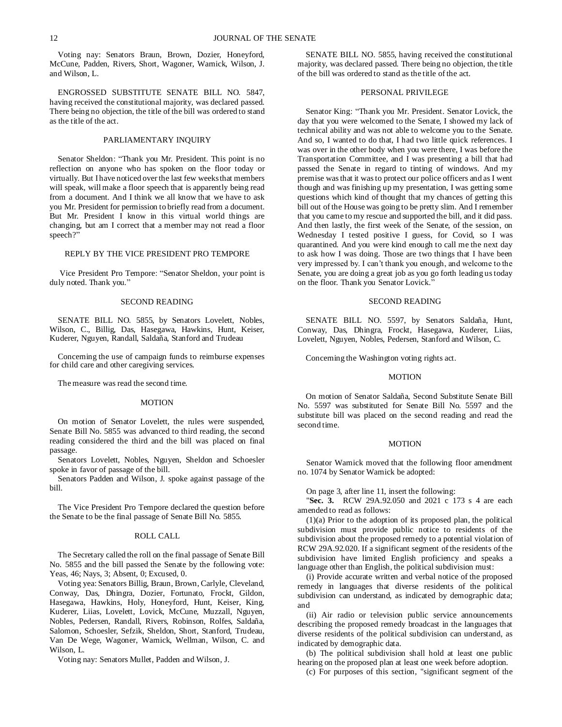Voting nay: Senators Braun, Brown, Dozier, Honeyford, McCune, Padden, Rivers, Short, Wagoner, Warnick, Wilson, J. and Wilson, L.

ENGROSSED SUBSTITUTE SENATE BILL NO. 5847, having received the constitutional majority, was declared passed. There being no objection, the title of the bill was ordered to stand as the title of the act.

### PARLIAMENTARY INQUIRY

Senator Sheldon: "Thank you Mr. President. This point is no reflection on anyone who has spoken on the floor today or virtually. But I have noticed over the last few weeks that members will speak, will make a floor speech that is apparently being read from a document. And I think we all know that we have to ask you Mr. President for permission to briefly read from a document. But Mr. President I know in this virtual world things are changing, but am I correct that a member may not read a floor speech?"

### REPLY BY THE VICE PRESIDENT PRO TEMPORE

Vice President Pro Tempore: "Senator Sheldon, your point is duly noted. Thank you."

### SECOND READING

SENATE BILL NO. 5855, by Senators Lovelett, Nobles, Wilson, C., Billig, Das, Hasegawa, Hawkins, Hunt, Keiser, Kuderer, Nguyen, Randall, Saldaña, Stanford and Trudeau

Concerning the use of campaign funds to reimburse expenses for child care and other caregiving services.

The measure was read the second time.

#### MOTION

On motion of Senator Lovelett, the rules were suspended, Senate Bill No. 5855 was advanced to third reading, the second reading considered the third and the bill was placed on final passage.

Senators Lovelett, Nobles, Nguyen, Sheldon and Schoesler spoke in favor of passage of the bill.

Senators Padden and Wilson, J. spoke against passage of the bill.

The Vice President Pro Tempore declared the question before the Senate to be the final passage of Senate Bill No. 5855.

## ROLL CALL

The Secretary called the roll on the final passage of Senate Bill No. 5855 and the bill passed the Senate by the following vote: Yeas, 46; Nays, 3; Absent, 0; Excused, 0.

Voting yea: Senators Billig, Braun, Brown, Carlyle, Cleveland, Conway, Das, Dhingra, Dozier, Fortunato, Frockt, Gildon, Hasegawa, Hawkins, Holy, Honeyford, Hunt, Keiser, King, Kuderer, Liias, Lovelett, Lovick, McCune, Muzzall, Nguyen, Nobles, Pedersen, Randall, Rivers, Robinson, Rolfes, Saldaña, Salomon, Schoesler, Sefzik, Sheldon, Short, Stanford, Trudeau, Van De Wege, Wagoner, Warnick, Wellman, Wilson, C. and Wilson, L.

Voting nay: Senators Mullet, Padden and Wilson, J.

SENATE BILL NO. 5855, having received the constitutional majority, was declared passed. There being no objection, the title of the bill was ordered to stand as the title of the act.

## PERSONAL PRIVILEGE

Senator King: "Thank you Mr. President. Senator Lovick, the day that you were welcomed to the Senate, I showed my lack of technical ability and was not able to welcome you to the Senate. And so, I wanted to do that, I had two little quick references. I was over in the other body when you were there, I was before the Transportation Committee, and I was presenting a bill that had passed the Senate in regard to tinting of windows. And my premise was that it was to protect our police officers and as I went though and was finishing up my presentation, I was getting some questions which kind of thought that my chances of getting this bill out of the House was going to be pretty slim. And I remember that you came to my rescue and supported the bill, and it did pass. And then lastly, the first week of the Senate, of the session, on Wednesday I tested positive I guess, for Covid, so I was quarantined. And you were kind enough to call me the next day to ask how I was doing. Those are two things that I have been very impressed by. I can't thank you enough, and welcome to the Senate, you are doing a great job as you go forth leading us today on the floor. Thank you Senator Lovick."

### SECOND READING

SENATE BILL NO. 5597, by Senators Saldaña, Hunt, Conway, Das, Dhingra, Frockt, Hasegawa, Kuderer, Liias, Lovelett, Nguyen, Nobles, Pedersen, Stanford and Wilson, C.

Concerning the Washington voting rights act.

#### MOTION

On motion of Senator Saldaña, Second Substitute Senate Bill No. 5597 was substituted for Senate Bill No. 5597 and the substitute bill was placed on the second reading and read the second time.

#### MOTION

Senator Warnick moved that the following floor amendment no. 1074 by Senator Warnick be adopted:

On page 3, after line 11, insert the following:

"**Sec. 3.** RCW 29A.92.050 and 2021 c 173 s 4 are each amended to read as follows:

(1)(a) Prior to the adoption of its proposed plan, the political subdivision must provide public notice to residents of the subdivision about the proposed remedy to a potential violation of RCW 29A.92.020. If a significant segment of the residents of the subdivision have limited English proficiency and speaks a language other than English, the political subdivision must:

(i) Provide accurate written and verbal notice of the proposed remedy in languages that diverse residents of the political subdivision can understand, as indicated by demographic data; and

(ii) Air radio or television public service announcements describing the proposed remedy broadcast in the languages that diverse residents of the political subdivision can understand, as indicated by demographic data.

(b) The political subdivision shall hold at least one public hearing on the proposed plan at least one week before adoption.

(c) For purposes of this section, "significant segment of the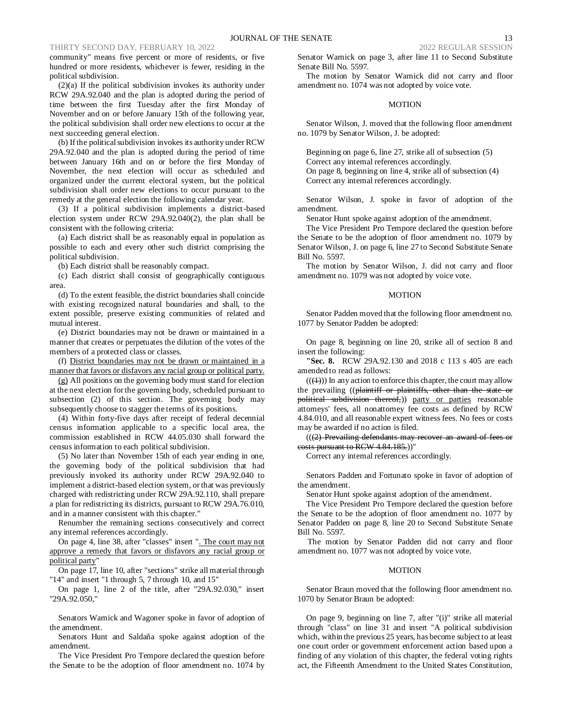community" means five percent or more of residents, or five hundred or more residents, whichever is fewer, residing in the political subdivision.

(2)(a) If the political subdivision invokes its authority under RCW 29A.92.040 and the plan is adopted during the period of time between the first Tuesday after the first Monday of November and on or before January 15th of the following year, the political subdivision shall order new elections to occur at the next succeeding general election.

(b) If the political subdivision invokes its authority under RCW 29A.92.040 and the plan is adopted during the period of time between January 16th and on or before the first Monday of November, the next election will occur as scheduled and organized under the current electoral system, but the political subdivision shall order new elections to occur pursuant to the remedy at the general election the following calendar year.

(3) If a political subdivision implements a district-based election system under RCW 29A.92.040(2), the plan shall be consistent with the following criteria:

(a) Each district shall be as reasonably equal in population as possible to each and every other such district comprising the political subdivision.

(b) Each district shall be reasonably compact.

(c) Each district shall consist of geographically contiguous area.

(d) To the extent feasible, the district boundaries shall coincide with existing recognized natural boundaries and shall, to the extent possible, preserve existing communities of related and mutual interest.

(e) District boundaries may not be drawn or maintained in a manner that creates or perpetuates the dilution of the votes of the members of a protected class or classes.

(f) District boundaries may not be drawn or maintained in a manner that favors or disfavors any racial group or political party.

(g) All positions on the governing body must stand for election at the next election for the governing body, scheduled pursuant to subsection (2) of this section. The governing body may subsequently choose to stagger the terms of its positions.

(4) Within forty-five days after receipt of federal decennial census information applicable to a specific local area, the commission established in RCW 44.05.030 shall forward the census information to each political subdivision.

(5) No later than November 15th of each year ending in one, the governing body of the political subdivision that had previously invoked its authority under RCW 29A.92.040 to implement a district-based election system, or that was previously charged with redistricting under RCW 29A.92.110, shall prepare a plan for redistricting its districts, pursuant to RCW 29A.76.010, and in a manner consistent with this chapter."

Renumber the remaining sections consecutively and correct any internal references accordingly.

On page 4, line 38, after "classes" insert ". The court may not approve a remedy that favors or disfavors any racial group or political party"

On page 17, line 10, after "sections" strike all material through "14" and insert "1 through 5, 7 through 10, and 15"

On page 1, line 2 of the title, after "29A.92.030," insert "29A.92.050,"

Senators Warnick and Wagoner spoke in favor of adoption of the amendment.

Senators Hunt and Saldaña spoke against adoption of the amendment.

The Vice President Pro Tempore declared the question before the Senate to be the adoption of floor amendment no. 1074 by Senator Warnick on page 3, after line 11 to Second Substitute Senate Bill No. 5597.

The motion by Senator Warnick did not carry and floor amendment no. 1074 was not adopted by voice vote.

#### **MOTION**

Senator Wilson, J. moved that the following floor amendment no. 1079 by Senator Wilson, J. be adopted:

Beginning on page 6, line 27, strike all of subsection (5) Correct any internal references accordingly. On page 8, beginning on line 4, strike all of subsection (4) Correct any internal references accordingly.

Senator Wilson, J. spoke in favor of adoption of the amendment.

Senator Hunt spoke against adoption of the amendment.

The Vice President Pro Tempore declared the question before the Senate to be the adoption of floor amendment no. 1079 by Senator Wilson, J. on page 6, line 27 to Second Substitute Senate Bill No. 5597.

The motion by Senator Wilson, J. did not carry and floor amendment no. 1079 was not adopted by voice vote.

#### MOTION

Senator Padden moved that the following floor amendment no. 1077 by Senator Padden be adopted:

On page 8, beginning on line 20, strike all of section 8 and insert the following:

**"Sec. 8.** RCW 29A.92.130 and 2018 c 113 s 405 are each amended to read as follows:

 $(( (4))$ ) In any action to enforce this chapter, the court may allow the prevailing ((plaintiff or plaintiffs, other than the state or political subdivision thereof,)) party or parties reasonable attorneys' fees, all nonattorney fee costs as defined by RCW 4.84.010, and all reasonable expert witness fees. No fees or costs may be awarded if no action is filed.

 $((2)$  Prevailing defendants may recover an award of fees costs pursuant to RCW 4.84.185.))"

Correct any internal references accordingly.

Senators Padden and Fortunato spoke in favor of adoption of the amendment.

Senator Hunt spoke against adoption of the amendment.

The Vice President Pro Tempore declared the question before the Senate to be the adoption of floor amendment no. 1077 by Senator Padden on page 8, line 20 to Second Substitute Senate Bill No. 5597.

The motion by Senator Padden did not carry and floor amendment no. 1077 was not adopted by voice vote.

### MOTION

Senator Braun moved that the following floor amendment no. 1070 by Senator Braun be adopted:

On page 9, beginning on line 7, after "(i)" strike all material through "class" on line 31 and insert "A political subdivision which, within the previous 25 years, has become subject to at least one court order or government enforcement action based upon a finding of any violation of this chapter, the federal voting rights act, the Fifteenth Amendment to the United States Constitution,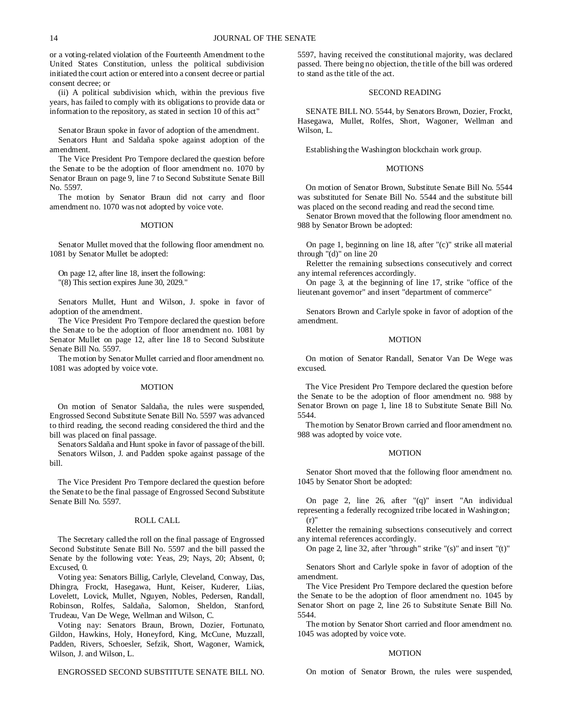or a voting-related violation of the Fourteenth Amendment to the United States Constitution, unless the political subdivision initiated the court action or entered into a consent decree or partial consent decree; or

(ii) A political subdivision which, within the previous five years, has failed to comply with its obligations to provide data or information to the repository, as stated in section 10 of this act"

Senator Braun spoke in favor of adoption of the amendment.

Senators Hunt and Saldaña spoke against adoption of the amendment.

The Vice President Pro Tempore declared the question before the Senate to be the adoption of floor amendment no. 1070 by Senator Braun on page 9, line 7 to Second Substitute Senate Bill No. 5597.

The motion by Senator Braun did not carry and floor amendment no. 1070 was not adopted by voice vote.

### MOTION

Senator Mullet moved that the following floor amendment no. 1081 by Senator Mullet be adopted:

On page 12, after line 18, insert the following: "(8) This section expires June 30, 2029."

Senators Mullet, Hunt and Wilson, J. spoke in favor of adoption of the amendment.

The Vice President Pro Tempore declared the question before the Senate to be the adoption of floor amendment no. 1081 by Senator Mullet on page 12, after line 18 to Second Substitute Senate Bill No. 5597.

The motion by Senator Mullet carried and floor amendment no. 1081 was adopted by voice vote.

#### **MOTION**

On motion of Senator Saldaña, the rules were suspended, Engrossed Second Substitute Senate Bill No. 5597 was advanced to third reading, the second reading considered the third and the bill was placed on final passage.

Senators Saldaña and Hunt spoke in favor of passage of the bill. Senators Wilson, J. and Padden spoke against passage of the bill.

The Vice President Pro Tempore declared the question before the Senate to be the final passage of Engrossed Second Substitute Senate Bill No. 5597.

## ROLL CALL

The Secretary called the roll on the final passage of Engrossed Second Substitute Senate Bill No. 5597 and the bill passed the Senate by the following vote: Yeas, 29; Nays, 20; Absent, 0; Excused, 0.

Voting yea: Senators Billig, Carlyle, Cleveland, Conway, Das, Dhingra, Frockt, Hasegawa, Hunt, Keiser, Kuderer, Liias, Lovelett, Lovick, Mullet, Nguyen, Nobles, Pedersen, Randall, Robinson, Rolfes, Saldaña, Salomon, Sheldon, Stanford, Trudeau, Van De Wege, Wellman and Wilson, C.

Voting nay: Senators Braun, Brown, Dozier, Fortunato, Gildon, Hawkins, Holy, Honeyford, King, McCune, Muzzall, Padden, Rivers, Schoesler, Sefzik, Short, Wagoner, Warnick, Wilson, J. and Wilson, L.

ENGROSSED SECOND SUBSTITUTE SENATE BILL NO.

5597, having received the constitutional majority, was declared passed. There being no objection, the title of the bill was ordered to stand as the title of the act.

## SECOND READING

SENATE BILL NO. 5544, by Senators Brown, Dozier, Frockt, Hasegawa, Mullet, Rolfes, Short, Wagoner, Wellman and Wilson, L.

Establishing the Washington blockchain work group.

#### **MOTIONS**

On motion of Senator Brown, Substitute Senate Bill No. 5544 was substituted for Senate Bill No. 5544 and the substitute bill was placed on the second reading and read the second time.

Senator Brown moved that the following floor amendment no. 988 by Senator Brown be adopted:

On page 1, beginning on line 18, after "(c)" strike all material through "(d)" on line 20

Reletter the remaining subsections consecutively and correct any internal references accordingly.

On page 3, at the beginning of line 17, strike "office of the lieutenant governor" and insert "department of commerce"

Senators Brown and Carlyle spoke in favor of adoption of the amendment.

### MOTION

On motion of Senator Randall, Senator Van De Wege was excused.

The Vice President Pro Tempore declared the question before the Senate to be the adoption of floor amendment no. 988 by Senator Brown on page 1, line 18 to Substitute Senate Bill No. 5544.

The motion by Senator Brown carried and floor amendment no. 988 was adopted by voice vote.

#### MOTION

Senator Short moved that the following floor amendment no. 1045 by Senator Short be adopted:

On page 2, line 26, after "(q)" insert "An individual representing a federally recognized tribe located in Washington;  $(r)$ "

Reletter the remaining subsections consecutively and correct any internal references accordingly.

On page 2, line 32, after "through" strike "(s)" and insert "(t)"

Senators Short and Carlyle spoke in favor of adoption of the amendment.

The Vice President Pro Tempore declared the question before the Senate to be the adoption of floor amendment no. 1045 by Senator Short on page 2, line 26 to Substitute Senate Bill No. 5544.

The motion by Senator Short carried and floor amendment no. 1045 was adopted by voice vote.

#### MOTION

On motion of Senator Brown, the rules were suspended,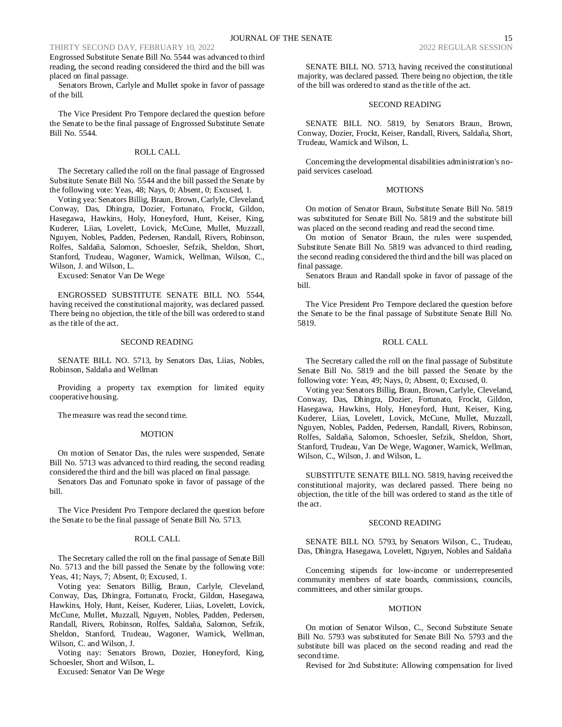# THIRTY SECOND DAY, FEBRUARY 10, 2022

Engrossed Substitute Senate Bill No. 5544 was advanced to third reading, the second reading considered the third and the bill was placed on final passage.

Senators Brown, Carlyle and Mullet spoke in favor of passage of the bill.

The Vice President Pro Tempore declared the question before the Senate to be the final passage of Engrossed Substitute Senate Bill No. 5544.

### ROLL CALL

The Secretary called the roll on the final passage of Engrossed Substitute Senate Bill No. 5544 and the bill passed the Senate by the following vote: Yeas, 48; Nays, 0; Absent, 0; Excused, 1.

Voting yea: Senators Billig, Braun, Brown, Carlyle, Cleveland, Conway, Das, Dhingra, Dozier, Fortunato, Frockt, Gildon, Hasegawa, Hawkins, Holy, Honeyford, Hunt, Keiser, King, Kuderer, Liias, Lovelett, Lovick, McCune, Mullet, Muzzall, Nguyen, Nobles, Padden, Pedersen, Randall, Rivers, Robinson, Rolfes, Saldaña, Salomon, Schoesler, Sefzik, Sheldon, Short, Stanford, Trudeau, Wagoner, Warnick, Wellman, Wilson, C., Wilson, J. and Wilson, L.

Excused: Senator Van De Wege

ENGROSSED SUBSTITUTE SENATE BILL NO. 5544, having received the constitutional majority, was declared passed. There being no objection, the title of the bill was ordered to stand as the title of the act.

### SECOND READING

SENATE BILL NO. 5713, by Senators Das, Liias, Nobles, Robinson, Saldaña and Wellman

Providing a property tax exemption for limited equity cooperative housing.

The measure was read the second time.

#### MOTION

On motion of Senator Das, the rules were suspended, Senate Bill No. 5713 was advanced to third reading, the second reading considered the third and the bill was placed on final passage.

Senators Das and Fortunato spoke in favor of passage of the bill.

The Vice President Pro Tempore declared the question before the Senate to be the final passage of Senate Bill No. 5713.

#### ROLL CALL

The Secretary called the roll on the final passage of Senate Bill No. 5713 and the bill passed the Senate by the following vote: Yeas, 41; Nays, 7; Absent, 0; Excused, 1.

Voting yea: Senators Billig, Braun, Carlyle, Cleveland, Conway, Das, Dhingra, Fortunato, Frockt, Gildon, Hasegawa, Hawkins, Holy, Hunt, Keiser, Kuderer, Liias, Lovelett, Lovick, McCune, Mullet, Muzzall, Nguyen, Nobles, Padden, Pedersen, Randall, Rivers, Robinson, Rolfes, Saldaña, Salomon, Sefzik, Sheldon, Stanford, Trudeau, Wagoner, Warnick, Wellman, Wilson, C. and Wilson, J.

Voting nay: Senators Brown, Dozier, Honeyford, King, Schoesler, Short and Wilson, L.

Excused: Senator Van De Wege

SENATE BILL NO. 5713, having received the constitutional majority, was declared passed. There being no objection, the title of the bill was ordered to stand as the title of the act.

### SECOND READING

SENATE BILL NO. 5819, by Senators Braun, Brown, Conway, Dozier, Frockt, Keiser, Randall, Rivers, Saldaña, Short, Trudeau, Warnick and Wilson, L.

Concerning the developmental disabilities administration's nopaid services caseload.

#### **MOTIONS**

On motion of Senator Braun, Substitute Senate Bill No. 5819 was substituted for Senate Bill No. 5819 and the substitute bill was placed on the second reading and read the second time.

On motion of Senator Braun, the rules were suspended, Substitute Senate Bill No. 5819 was advanced to third reading, the second reading considered the third and the bill was placed on final passage.

Senators Braun and Randall spoke in favor of passage of the bill.

The Vice President Pro Tempore declared the question before the Senate to be the final passage of Substitute Senate Bill No. 5819.

### ROLL CALL

The Secretary called the roll on the final passage of Substitute Senate Bill No. 5819 and the bill passed the Senate by the following vote: Yeas, 49; Nays, 0; Absent, 0; Excused, 0.

Voting yea: Senators Billig, Braun, Brown, Carlyle, Cleveland, Conway, Das, Dhingra, Dozier, Fortunato, Frockt, Gildon, Hasegawa, Hawkins, Holy, Honeyford, Hunt, Keiser, King, Kuderer, Liias, Lovelett, Lovick, McCune, Mullet, Muzzall, Nguyen, Nobles, Padden, Pedersen, Randall, Rivers, Robinson, Rolfes, Saldaña, Salomon, Schoesler, Sefzik, Sheldon, Short, Stanford, Trudeau, Van De Wege, Wagoner, Warnick, Wellman, Wilson, C., Wilson, J. and Wilson, L.

SUBSTITUTE SENATE BILL NO. 5819, having received the constitutional majority, was declared passed. There being no objection, the title of the bill was ordered to stand as the title of the act.

#### SECOND READING

SENATE BILL NO. 5793, by Senators Wilson, C., Trudeau, Das, Dhingra, Hasegawa, Lovelett, Nguyen, Nobles and Saldaña

Concerning stipends for low-income or underrepresented community members of state boards, commissions, councils, committees, and other similar groups.

### **MOTION**

On motion of Senator Wilson, C., Second Substitute Senate Bill No. 5793 was substituted for Senate Bill No. 5793 and the substitute bill was placed on the second reading and read the second time.

Revised for 2nd Substitute: Allowing compensation for lived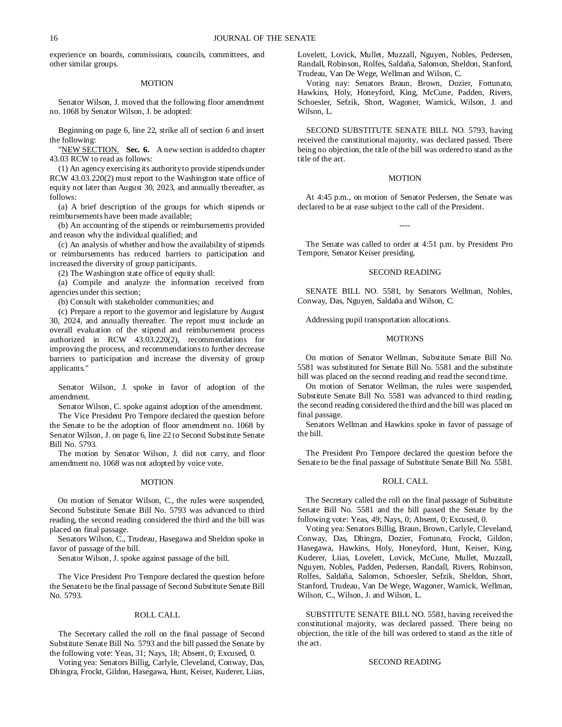experience on boards, commissions, councils, committees, and other similar groups.

## MOTION

Senator Wilson, J. moved that the following floor amendment no. 1068 by Senator Wilson, J. be adopted:

Beginning on page 6, line 22, strike all of section 6 and insert the following:

"NEW SECTION. Sec. 6. A new section is added to chapter 43.03 RCW to read as follows:

(1) An agency exercising its authority to provide stipends under RCW 43.03.220(2) must report to the Washington state office of equity not later than August 30, 2023, and annually thereafter, as follows:

(a) A brief description of the groups for which stipends or reimbursements have been made available;

(b) An accounting of the stipends or reimbursements provided and reason why the individual qualified; and

(c) An analysis of whether and how the availability of stipends or reimbursements has reduced barriers to participation and increased the diversity of group participants.

(2) The Washington state office of equity shall:

(a) Compile and analyze the information received from agencies under this section;

(b) Consult with stakeholder communities; and

(c) Prepare a report to the governor and legislature by August 30, 2024, and annually thereafter. The report must include an overall evaluation of the stipend and reimbursement process authorized in RCW 43.03.220(2), recommendations for improving the process, and recommendations to further decrease barriers to participation and increase the diversity of group applicants."

Senator Wilson, J. spoke in favor of adoption of the amendment.

Senator Wilson, C. spoke against adoption of the amendment.

The Vice President Pro Tempore declared the question before the Senate to be the adoption of floor amendment no. 1068 by Senator Wilson, J. on page 6, line 22 to Second Substitute Senate Bill No. 5793.

The motion by Senator Wilson, J. did not carry, and floor amendment no. 1068 was not adopted by voice vote.

#### MOTION

On motion of Senator Wilson, C., the rules were suspended, Second Substitute Senate Bill No. 5793 was advanced to third reading, the second reading considered the third and the bill was placed on final passage.

Senators Wilson, C., Trudeau, Hasegawa and Sheldon spoke in favor of passage of the bill.

Senator Wilson, J. spoke against passage of the bill.

The Vice President Pro Tempore declared the question before the Senate to be the final passage of Second Substitute Senate Bill No. 5793.

#### ROLL CALL

The Secretary called the roll on the final passage of Second Substitute Senate Bill No. 5793 and the bill passed the Senate by the following vote: Yeas, 31; Nays, 18; Absent, 0; Excused, 0.

Voting yea: Senators Billig, Carlyle, Cleveland, Conway, Das, Dhingra, Frockt, Gildon, Hasegawa, Hunt, Keiser, Kuderer, Liias, Lovelett, Lovick, Mullet, Muzzall, Nguyen, Nobles, Pedersen, Randall, Robinson, Rolfes, Saldaña, Salomon, Sheldon, Stanford, Trudeau, Van De Wege, Wellman and Wilson, C.

Voting nay: Senators Braun, Brown, Dozier, Fortunato, Hawkins, Holy, Honeyford, King, McCune, Padden, Rivers, Schoesler, Sefzik, Short, Wagoner, Warnick, Wilson, J. and Wilson, L.

SECOND SUBSTITUTE SENATE BILL NO. 5793, having received the constitutional majority, was declared passed. There being no objection, the title of the bill was ordered to stand as the title of the act.

#### MOTION

At 4:45 p.m., on motion of Senator Pedersen, the Senate was declared to be at ease subject to the call of the President.

The Senate was called to order at 4:51 p.m. by President Pro Tempore, Senator Keiser presiding.

----

#### SECOND READING

SENATE BILL NO. 5581, by Senators Wellman, Nobles, Conway, Das, Nguyen, Saldaña and Wilson, C.

Addressing pupil transportation allocations.

### MOTIONS

On motion of Senator Wellman, Substitute Senate Bill No. 5581 was substituted for Senate Bill No. 5581 and the substitute bill was placed on the second reading and read the second time.

On motion of Senator Wellman, the rules were suspended, Substitute Senate Bill No. 5581 was advanced to third reading, the second reading considered the third and the bill was placed on final passage.

Senators Wellman and Hawkins spoke in favor of passage of the bill.

The President Pro Tempore declared the question before the Senate to be the final passage of Substitute Senate Bill No. 5581.

#### ROLL CALL

The Secretary called the roll on the final passage of Substitute Senate Bill No. 5581 and the bill passed the Senate by the following vote: Yeas, 49; Nays, 0; Absent, 0; Excused, 0.

Voting yea: Senators Billig, Braun, Brown, Carlyle, Cleveland, Conway, Das, Dhingra, Dozier, Fortunato, Frockt, Gildon, Hasegawa, Hawkins, Holy, Honeyford, Hunt, Keiser, King, Kuderer, Liias, Lovelett, Lovick, McCune, Mullet, Muzzall, Nguyen, Nobles, Padden, Pedersen, Randall, Rivers, Robinson, Rolfes, Saldaña, Salomon, Schoesler, Sefzik, Sheldon, Short, Stanford, Trudeau, Van De Wege, Wagoner, Warnick, Wellman, Wilson, C., Wilson, J. and Wilson, L.

SUBSTITUTE SENATE BILL NO. 5581, having received the constitutional majority, was declared passed. There being no objection, the title of the bill was ordered to stand as the title of the act.

## SECOND READING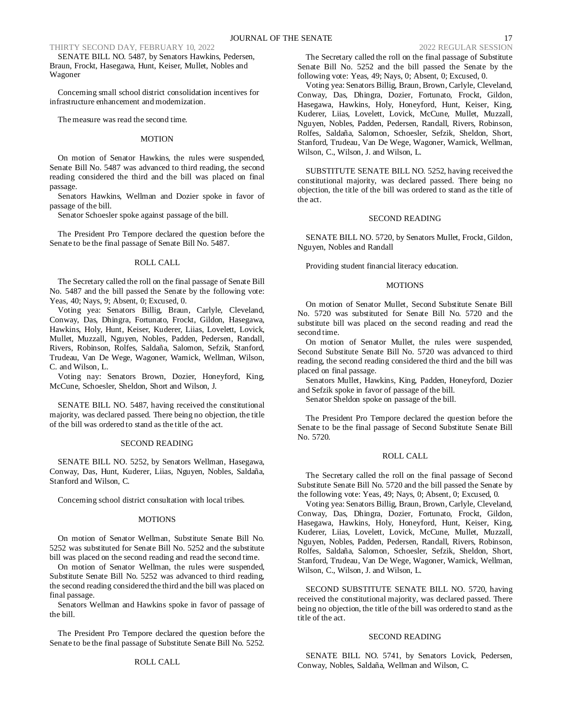SENATE BILL NO. 5487, by Senators Hawkins, Pedersen, Braun, Frockt, Hasegawa, Hunt, Keiser, Mullet, Nobles and Wagoner

Concerning small school district consolidation incentives for infrastructure enhancement and modernization.

The measure was read the second time.

### **MOTION**

On motion of Senator Hawkins, the rules were suspended, Senate Bill No. 5487 was advanced to third reading, the second reading considered the third and the bill was placed on final passage.

Senators Hawkins, Wellman and Dozier spoke in favor of passage of the bill.

Senator Schoesler spoke against passage of the bill.

The President Pro Tempore declared the question before the Senate to be the final passage of Senate Bill No. 5487.

### ROLL CALL

The Secretary called the roll on the final passage of Senate Bill No. 5487 and the bill passed the Senate by the following vote: Yeas, 40; Nays, 9; Absent, 0; Excused, 0.

Voting yea: Senators Billig, Braun, Carlyle, Cleveland, Conway, Das, Dhingra, Fortunato, Frockt, Gildon, Hasegawa, Hawkins, Holy, Hunt, Keiser, Kuderer, Liias, Lovelett, Lovick, Mullet, Muzzall, Nguyen, Nobles, Padden, Pedersen, Randall, Rivers, Robinson, Rolfes, Saldaña, Salomon, Sefzik, Stanford, Trudeau, Van De Wege, Wagoner, Warnick, Wellman, Wilson, C. and Wilson, L.

Voting nay: Senators Brown, Dozier, Honeyford, King, McCune, Schoesler, Sheldon, Short and Wilson, J.

SENATE BILL NO. 5487, having received the constitutional majority, was declared passed. There being no objection, the title of the bill was ordered to stand as the title of the act.

### SECOND READING

SENATE BILL NO. 5252, by Senators Wellman, Hasegawa, Conway, Das, Hunt, Kuderer, Liias, Nguyen, Nobles, Saldaña, Stanford and Wilson, C.

Concerning school district consultation with local tribes.

#### **MOTIONS**

On motion of Senator Wellman, Substitute Senate Bill No. 5252 was substituted for Senate Bill No. 5252 and the substitute bill was placed on the second reading and read the second time.

On motion of Senator Wellman, the rules were suspended, Substitute Senate Bill No. 5252 was advanced to third reading, the second reading considered the third and the bill was placed on final passage.

Senators Wellman and Hawkins spoke in favor of passage of the bill.

The President Pro Tempore declared the question before the Senate to be the final passage of Substitute Senate Bill No. 5252.

### ROLL CALL

The Secretary called the roll on the final passage of Substitute Senate Bill No. 5252 and the bill passed the Senate by the following vote: Yeas, 49; Nays, 0; Absent, 0; Excused, 0.

Voting yea: Senators Billig, Braun, Brown, Carlyle, Cleveland, Conway, Das, Dhingra, Dozier, Fortunato, Frockt, Gildon, Hasegawa, Hawkins, Holy, Honeyford, Hunt, Keiser, King, Kuderer, Liias, Lovelett, Lovick, McCune, Mullet, Muzzall, Nguyen, Nobles, Padden, Pedersen, Randall, Rivers, Robinson, Rolfes, Saldaña, Salomon, Schoesler, Sefzik, Sheldon, Short, Stanford, Trudeau, Van De Wege, Wagoner, Warnick, Wellman, Wilson, C., Wilson, J. and Wilson, L.

SUBSTITUTE SENATE BILL NO. 5252, having received the constitutional majority, was declared passed. There being no objection, the title of the bill was ordered to stand as the title of the act.

### SECOND READING

SENATE BILL NO. 5720, by Senators Mullet, Frockt, Gildon, Nguyen, Nobles and Randall

Providing student financial literacy education.

#### **MOTIONS**

On motion of Senator Mullet, Second Substitute Senate Bill No. 5720 was substituted for Senate Bill No. 5720 and the substitute bill was placed on the second reading and read the second time.

On motion of Senator Mullet, the rules were suspended, Second Substitute Senate Bill No. 5720 was advanced to third reading, the second reading considered the third and the bill was placed on final passage.

Senators Mullet, Hawkins, King, Padden, Honeyford, Dozier and Sefzik spoke in favor of passage of the bill.

Senator Sheldon spoke on passage of the bill.

The President Pro Tempore declared the question before the Senate to be the final passage of Second Substitute Senate Bill No. 5720.

#### ROLL CALL

The Secretary called the roll on the final passage of Second Substitute Senate Bill No. 5720 and the bill passed the Senate by the following vote: Yeas, 49; Nays, 0; Absent, 0; Excused, 0.

Voting yea: Senators Billig, Braun, Brown, Carlyle, Cleveland, Conway, Das, Dhingra, Dozier, Fortunato, Frockt, Gildon, Hasegawa, Hawkins, Holy, Honeyford, Hunt, Keiser, King, Kuderer, Liias, Lovelett, Lovick, McCune, Mullet, Muzzall, Nguyen, Nobles, Padden, Pedersen, Randall, Rivers, Robinson, Rolfes, Saldaña, Salomon, Schoesler, Sefzik, Sheldon, Short, Stanford, Trudeau, Van De Wege, Wagoner, Warnick, Wellman, Wilson, C., Wilson, J. and Wilson, L.

SECOND SUBSTITUTE SENATE BILL NO. 5720, having received the constitutional majority, was declared passed. There being no objection, the title of the bill was ordered to stand as the title of the act.

### SECOND READING

SENATE BILL NO. 5741, by Senators Lovick, Pedersen, Conway, Nobles, Saldaña, Wellman and Wilson, C.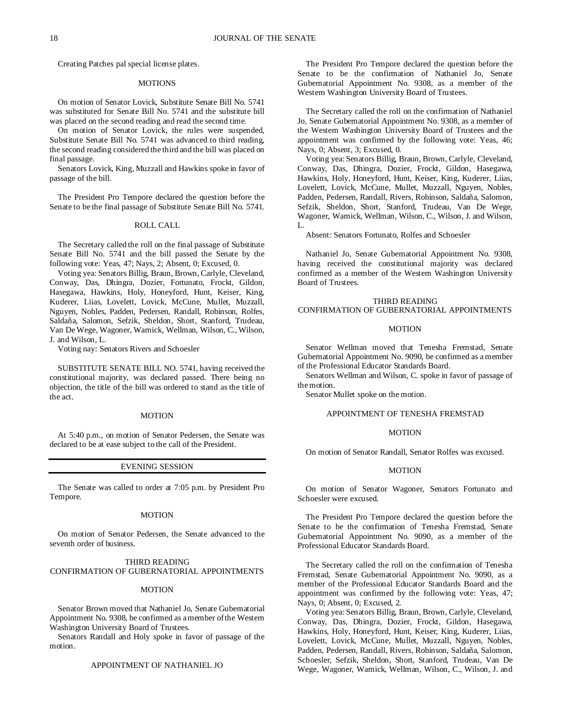Creating Patches pal special license plates.

#### MOTIONS

On motion of Senator Lovick, Substitute Senate Bill No. 5741 was substituted for Senate Bill No. 5741 and the substitute bill was placed on the second reading and read the second time.

On motion of Senator Lovick, the rules were suspended, Substitute Senate Bill No. 5741 was advanced to third reading, the second reading considered the third and the bill was placed on final passage.

Senators Lovick, King, Muzzall and Hawkins spoke in favor of passage of the bill.

The President Pro Tempore declared the question before the Senate to be the final passage of Substitute Senate Bill No. 5741.

## ROLL CALL

The Secretary called the roll on the final passage of Substitute Senate Bill No. 5741 and the bill passed the Senate by the following vote: Yeas, 47; Nays, 2; Absent, 0; Excused, 0.

Voting yea: Senators Billig, Braun, Brown, Carlyle, Cleveland, Conway, Das, Dhingra, Dozier, Fortunato, Frockt, Gildon, Hasegawa, Hawkins, Holy, Honeyford, Hunt, Keiser, King, Kuderer, Liias, Lovelett, Lovick, McCune, Mullet, Muzzall, Nguyen, Nobles, Padden, Pedersen, Randall, Robinson, Rolfes, Saldaña, Salomon, Sefzik, Sheldon, Short, Stanford, Trudeau, Van De Wege, Wagoner, Warnick, Wellman, Wilson, C., Wilson, J. and Wilson, L.

Voting nay: Senators Rivers and Schoesler

SUBSTITUTE SENATE BILL NO. 5741, having received the constitutional majority, was declared passed. There being no objection, the title of the bill was ordered to stand as the title of the act.

#### MOTION

At 5:40 p.m., on motion of Senator Pedersen, the Senate was declared to be at ease subject to the call of the President.

#### EVENING SESSION

The Senate was called to order at 7:05 p.m. by President Pro Tempore.

## **MOTION**

On motion of Senator Pedersen, the Senate advanced to the seventh order of business.

### THIRD READING

CONFIRMATION OF GUBERNATORIAL APPOINTMENTS

## MOTION

Senator Brown moved that Nathaniel Jo, Senate Gubernatorial Appointment No. 9308, be confirmed as a member of the Western Washington University Board of Trustees.

Senators Randall and Holy spoke in favor of passage of the motion.

### APPOINTMENT OF NATHANIEL JO

The President Pro Tempore declared the question before the Senate to be the confirmation of Nathaniel Jo, Senate Gubernatorial Appointment No. 9308, as a member of the Western Washington University Board of Trustees.

The Secretary called the roll on the confirmation of Nathaniel Jo, Senate Gubernatorial Appointment No. 9308, as a member of the Western Washington University Board of Trustees and the appointment was confirmed by the following vote: Yeas, 46; Nays, 0; Absent, 3; Excused, 0.

Voting yea: Senators Billig, Braun, Brown, Carlyle, Cleveland, Conway, Das, Dhingra, Dozier, Frockt, Gildon, Hasegawa, Hawkins, Holy, Honeyford, Hunt, Keiser, King, Kuderer, Liias, Lovelett, Lovick, McCune, Mullet, Muzzall, Nguyen, Nobles, Padden, Pedersen, Randall, Rivers, Robinson, Saldaña, Salomon, Sefzik, Sheldon, Short, Stanford, Trudeau, Van De Wege, Wagoner, Warnick, Wellman, Wilson, C., Wilson, J. and Wilson, L.

Absent: Senators Fortunato, Rolfes and Schoesler

Nathaniel Jo, Senate Gubernatorial Appointment No. 9308, having received the constitutional majority was declared confirmed as a member of the Western Washington University Board of Trustees.

## THIRD READING CONFIRMATION OF GUBERNATORIAL APPOINTMENTS

#### MOTION

Senator Wellman moved that Tenesha Fremstad, Senate Gubernatorial Appointment No. 9090, be confirmed as a member of the Professional Educator Standards Board.

Senators Wellman and Wilson, C. spoke in favor of passage of the motion.

Senator Mullet spoke on the motion.

### APPOINTMENT OF TENESHA FREMSTAD

#### **MOTION**

On motion of Senator Randall, Senator Rolfes was excused.

#### **MOTION**

On motion of Senator Wagoner, Senators Fortunato and Schoesler were excused.

The President Pro Tempore declared the question before the Senate to be the confirmation of Tenesha Fremstad, Senate Gubernatorial Appointment No. 9090, as a member of the Professional Educator Standards Board.

The Secretary called the roll on the confirmation of Tenesha Fremstad, Senate Gubernatorial Appointment No. 9090, as a member of the Professional Educator Standards Board and the appointment was confirmed by the following vote: Yeas, 47; Nays, 0; Absent, 0; Excused, 2.

Voting yea: Senators Billig, Braun, Brown, Carlyle, Cleveland, Conway, Das, Dhingra, Dozier, Frockt, Gildon, Hasegawa, Hawkins, Holy, Honeyford, Hunt, Keiser, King, Kuderer, Liias, Lovelett, Lovick, McCune, Mullet, Muzzall, Nguyen, Nobles, Padden, Pedersen, Randall, Rivers, Robinson, Saldaña, Salomon, Schoesler, Sefzik, Sheldon, Short, Stanford, Trudeau, Van De Wege, Wagoner, Warnick, Wellman, Wilson, C., Wilson, J. and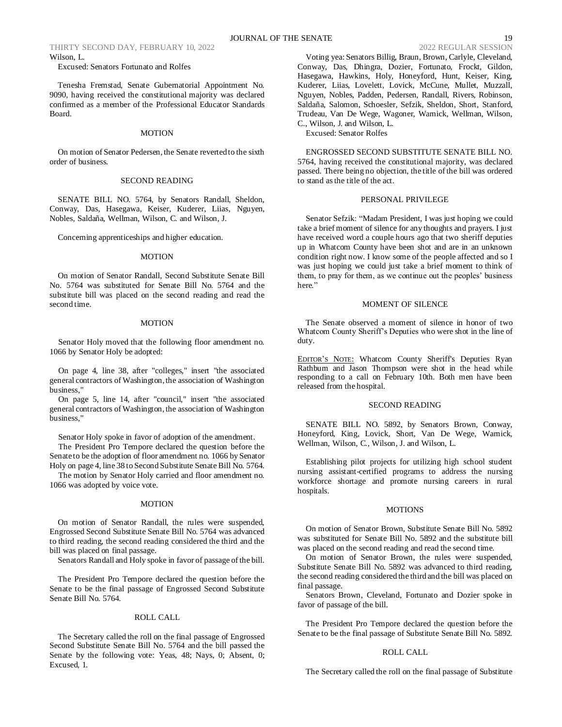Excused: Senators Fortunato and Rolfes

Tenesha Fremstad, Senate Gubernatorial Appointment No. 9090, having received the constitutional majority was declared confirmed as a member of the Professional Educator Standards Board.

## MOTION

On motion of Senator Pedersen, the Senate reverted to the sixth order of business.

## SECOND READING

SENATE BILL NO. 5764, by Senators Randall, Sheldon, Conway, Das, Hasegawa, Keiser, Kuderer, Liias, Nguyen, Nobles, Saldaña, Wellman, Wilson, C. and Wilson, J.

Concerning apprenticeships and higher education.

#### MOTION

On motion of Senator Randall, Second Substitute Senate Bill No. 5764 was substituted for Senate Bill No. 5764 and the substitute bill was placed on the second reading and read the second time.

#### MOTION

Senator Holy moved that the following floor amendment no. 1066 by Senator Holy be adopted:

On page 4, line 38, after "colleges," insert "the associated general contractors of Washington, the association of Washington business,"

On page 5, line 14, after "council," insert "the associated general contractors of Washington, the association of Washington business,"

Senator Holy spoke in favor of adoption of the amendment. The President Pro Tempore declared the question before the Senate to be the adoption of floor amendment no. 1066 by Senator Holy on page 4, line 38 to Second Substitute Senate Bill No. 5764.

The motion by Senator Holy carried and floor amendment no. 1066 was adopted by voice vote.

#### MOTION

On motion of Senator Randall, the rules were suspended, Engrossed Second Substitute Senate Bill No. 5764 was advanced to third reading, the second reading considered the third and the bill was placed on final passage.

Senators Randall and Holy spoke in favor of passage of the bill.

The President Pro Tempore declared the question before the Senate to be the final passage of Engrossed Second Substitute Senate Bill No. 5764.

### ROLL CALL

The Secretary called the roll on the final passage of Engrossed Second Substitute Senate Bill No. 5764 and the bill passed the Senate by the following vote: Yeas, 48; Nays, 0; Absent, 0; Excused, 1.

Voting yea: Senators Billig, Braun, Brown, Carlyle, Cleveland, Conway, Das, Dhingra, Dozier, Fortunato, Frockt, Gildon, Hasegawa, Hawkins, Holy, Honeyford, Hunt, Keiser, King, Kuderer, Liias, Lovelett, Lovick, McCune, Mullet, Muzzall, Nguyen, Nobles, Padden, Pedersen, Randall, Rivers, Robinson, Saldaña, Salomon, Schoesler, Sefzik, Sheldon, Short, Stanford, Trudeau, Van De Wege, Wagoner, Warnick, Wellman, Wilson, C., Wilson, J. and Wilson, L.

Excused: Senator Rolfes

ENGROSSED SECOND SUBSTITUTE SENATE BILL NO. 5764, having received the constitutional majority, was declared passed. There being no objection, the title of the bill was ordered to stand as the title of the act.

### PERSONAL PRIVILEGE

Senator Sefzik: "Madam President, I was just hoping we could take a brief moment of silence for any thoughts and prayers. I just have received word a couple hours ago that two sheriff deputies up in Whatcom County have been shot and are in an unknown condition right now. I know some of the people affected and so I was just hoping we could just take a brief moment to think of them, to pray for them, as we continue out the peoples' business here."

### MOMENT OF SILENCE

The Senate observed a moment of silence in honor of two Whatcom County Sheriff's Deputies who were shot in the line of duty.

EDITOR'S NOTE: Whatcom County Sheriff's Deputies Ryan Rathburn and Jason Thompson were shot in the head while responding to a call on February 10th. Both men have been released from the hospital.

### SECOND READING

SENATE BILL NO. 5892, by Senators Brown, Conway, Honeyford, King, Lovick, Short, Van De Wege, Warnick, Wellman, Wilson, C., Wilson, J. and Wilson, L.

Establishing pilot projects for utilizing high school student nursing assistant-certified programs to address the nursing workforce shortage and promote nursing careers in rural hospitals.

#### **MOTIONS**

On motion of Senator Brown, Substitute Senate Bill No. 5892 was substituted for Senate Bill No. 5892 and the substitute bill was placed on the second reading and read the second time.

On motion of Senator Brown, the rules were suspended, Substitute Senate Bill No. 5892 was advanced to third reading, the second reading considered the third and the bill was placed on final passage.

Senators Brown, Cleveland, Fortunato and Dozier spoke in favor of passage of the bill.

The President Pro Tempore declared the question before the Senate to be the final passage of Substitute Senate Bill No. 5892.

#### ROLL CALL

The Secretary called the roll on the final passage of Substitute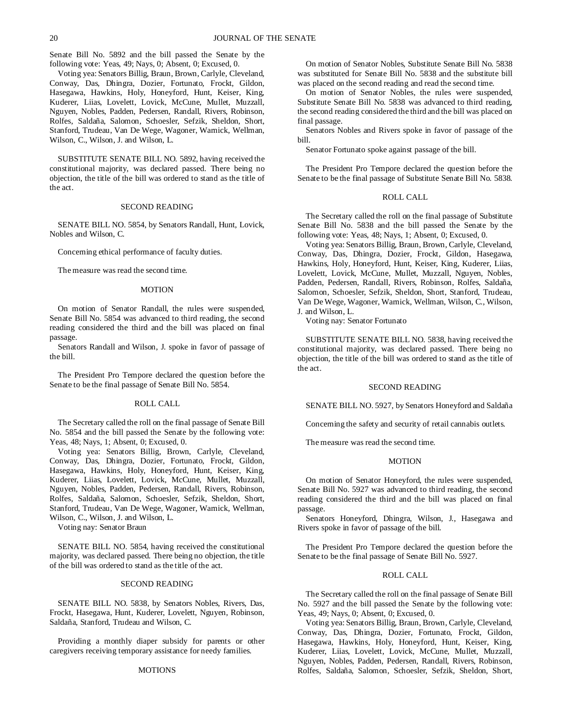Senate Bill No. 5892 and the bill passed the Senate by the following vote: Yeas, 49; Nays, 0; Absent, 0; Excused, 0.

Voting yea: Senators Billig, Braun, Brown, Carlyle, Cleveland, Conway, Das, Dhingra, Dozier, Fortunato, Frockt, Gildon, Hasegawa, Hawkins, Holy, Honeyford, Hunt, Keiser, King, Kuderer, Liias, Lovelett, Lovick, McCune, Mullet, Muzzall, Nguyen, Nobles, Padden, Pedersen, Randall, Rivers, Robinson, Rolfes, Saldaña, Salomon, Schoesler, Sefzik, Sheldon, Short, Stanford, Trudeau, Van De Wege, Wagoner, Warnick, Wellman, Wilson, C., Wilson, J. and Wilson, L.

SUBSTITUTE SENATE BILL NO. 5892, having received the constitutional majority, was declared passed. There being no objection, the title of the bill was ordered to stand as the title of the act.

### SECOND READING

SENATE BILL NO. 5854, by Senators Randall, Hunt, Lovick, Nobles and Wilson, C.

Concerning ethical performance of faculty duties.

The measure was read the second time.

#### **MOTION**

On motion of Senator Randall, the rules were suspended, Senate Bill No. 5854 was advanced to third reading, the second reading considered the third and the bill was placed on final passage.

Senators Randall and Wilson, J. spoke in favor of passage of the bill.

The President Pro Tempore declared the question before the Senate to be the final passage of Senate Bill No. 5854.

### ROLL CALL

The Secretary called the roll on the final passage of Senate Bill No. 5854 and the bill passed the Senate by the following vote: Yeas, 48; Nays, 1; Absent, 0; Excused, 0.

Voting yea: Senators Billig, Brown, Carlyle, Cleveland, Conway, Das, Dhingra, Dozier, Fortunato, Frockt, Gildon, Hasegawa, Hawkins, Holy, Honeyford, Hunt, Keiser, King, Kuderer, Liias, Lovelett, Lovick, McCune, Mullet, Muzzall, Nguyen, Nobles, Padden, Pedersen, Randall, Rivers, Robinson, Rolfes, Saldaña, Salomon, Schoesler, Sefzik, Sheldon, Short, Stanford, Trudeau, Van De Wege, Wagoner, Warnick, Wellman, Wilson, C., Wilson, J. and Wilson, L.

Voting nay: Senator Braun

SENATE BILL NO. 5854, having received the constitutional majority, was declared passed. There being no objection, the title of the bill was ordered to stand as the title of the act.

#### SECOND READING

SENATE BILL NO. 5838, by Senators Nobles, Rivers, Das, Frockt, Hasegawa, Hunt, Kuderer, Lovelett, Nguyen, Robinson, Saldaña, Stanford, Trudeau and Wilson, C.

Providing a monthly diaper subsidy for parents or other caregivers receiving temporary assistance for needy families.

#### **MOTIONS**

On motion of Senator Nobles, Substitute Senate Bill No. 5838 was substituted for Senate Bill No. 5838 and the substitute bill was placed on the second reading and read the second time.

On motion of Senator Nobles, the rules were suspended, Substitute Senate Bill No. 5838 was advanced to third reading, the second reading considered the third and the bill was placed on final passage.

Senators Nobles and Rivers spoke in favor of passage of the bill.

Senator Fortunato spoke against passage of the bill.

The President Pro Tempore declared the question before the Senate to be the final passage of Substitute Senate Bill No. 5838.

### ROLL CALL

The Secretary called the roll on the final passage of Substitute Senate Bill No. 5838 and the bill passed the Senate by the following vote: Yeas, 48; Nays, 1; Absent, 0; Excused, 0.

Voting yea: Senators Billig, Braun, Brown, Carlyle, Cleveland, Conway, Das, Dhingra, Dozier, Frockt, Gildon, Hasegawa, Hawkins, Holy, Honeyford, Hunt, Keiser, King, Kuderer, Liias, Lovelett, Lovick, McCune, Mullet, Muzzall, Nguyen, Nobles, Padden, Pedersen, Randall, Rivers, Robinson, Rolfes, Saldaña, Salomon, Schoesler, Sefzik, Sheldon, Short, Stanford, Trudeau, Van De Wege, Wagoner, Warnick, Wellman, Wilson, C., Wilson, J. and Wilson, L.

Voting nay: Senator Fortunato

SUBSTITUTE SENATE BILL NO. 5838, having received the constitutional majority, was declared passed. There being no objection, the title of the bill was ordered to stand as the title of the act.

### SECOND READING

SENATE BILL NO. 5927, by Senators Honeyford and Saldaña

Concerning the safety and security of retail cannabis outlets.

The measure was read the second time.

### **MOTION**

On motion of Senator Honeyford, the rules were suspended, Senate Bill No. 5927 was advanced to third reading, the second reading considered the third and the bill was placed on final passage.

Senators Honeyford, Dhingra, Wilson, J., Hasegawa and Rivers spoke in favor of passage of the bill.

The President Pro Tempore declared the question before the Senate to be the final passage of Senate Bill No. 5927.

### ROLL CALL

The Secretary called the roll on the final passage of Senate Bill No. 5927 and the bill passed the Senate by the following vote: Yeas, 49; Nays, 0; Absent, 0; Excused, 0.

Voting yea: Senators Billig, Braun, Brown, Carlyle, Cleveland, Conway, Das, Dhingra, Dozier, Fortunato, Frockt, Gildon, Hasegawa, Hawkins, Holy, Honeyford, Hunt, Keiser, King, Kuderer, Liias, Lovelett, Lovick, McCune, Mullet, Muzzall, Nguyen, Nobles, Padden, Pedersen, Randall, Rivers, Robinson, Rolfes, Saldaña, Salomon, Schoesler, Sefzik, Sheldon, Short,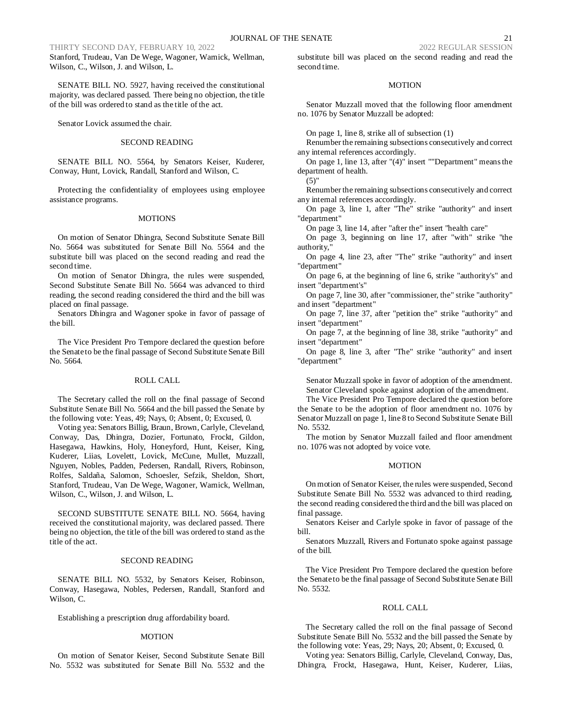Stanford, Trudeau, Van De Wege, Wagoner, Warnick, Wellman, Wilson, C., Wilson, J. and Wilson, L.

SENATE BILL NO. 5927, having received the constitutional majority, was declared passed. There being no objection, the title of the bill was ordered to stand as the title of the act.

Senator Lovick assumed the chair.

### SECOND READING

SENATE BILL NO. 5564, by Senators Keiser, Kuderer, Conway, Hunt, Lovick, Randall, Stanford and Wilson, C.

Protecting the confidentiality of employees using employee assistance programs.

#### MOTIONS

On motion of Senator Dhingra, Second Substitute Senate Bill No. 5664 was substituted for Senate Bill No. 5564 and the substitute bill was placed on the second reading and read the second time.

On motion of Senator Dhingra, the rules were suspended, Second Substitute Senate Bill No. 5664 was advanced to third reading, the second reading considered the third and the bill was placed on final passage.

Senators Dhingra and Wagoner spoke in favor of passage of the bill.

The Vice President Pro Tempore declared the question before the Senate to be the final passage of Second Substitute Senate Bill No. 5664.

#### ROLL CALL

The Secretary called the roll on the final passage of Second Substitute Senate Bill No. 5664 and the bill passed the Senate by the following vote: Yeas, 49; Nays, 0; Absent, 0; Excused, 0.

Voting yea: Senators Billig, Braun, Brown, Carlyle, Cleveland, Conway, Das, Dhingra, Dozier, Fortunato, Frockt, Gildon, Hasegawa, Hawkins, Holy, Honeyford, Hunt, Keiser, King, Kuderer, Liias, Lovelett, Lovick, McCune, Mullet, Muzzall, Nguyen, Nobles, Padden, Pedersen, Randall, Rivers, Robinson, Rolfes, Saldaña, Salomon, Schoesler, Sefzik, Sheldon, Short, Stanford, Trudeau, Van De Wege, Wagoner, Warnick, Wellman, Wilson, C., Wilson, J. and Wilson, L.

SECOND SUBSTITUTE SENATE BILL NO. 5664, having received the constitutional majority, was declared passed. There being no objection, the title of the bill was ordered to stand as the title of the act.

#### SECOND READING

SENATE BILL NO. 5532, by Senators Keiser, Robinson, Conway, Hasegawa, Nobles, Pedersen, Randall, Stanford and Wilson, C.

Establishing a prescription drug affordability board.

#### MOTION

On motion of Senator Keiser, Second Substitute Senate Bill No. 5532 was substituted for Senate Bill No. 5532 and the substitute bill was placed on the second reading and read the second time.

### **MOTION**

Senator Muzzall moved that the following floor amendment no. 1076 by Senator Muzzall be adopted:

On page 1, line 8, strike all of subsection (1)

Renumber the remaining subsections consecutively and correct any internal references accordingly.

On page 1, line 13, after "(4)" insert ""Department" means the department of health.

(5)"

Renumber the remaining subsections consecutively and correct any internal references accordingly.

On page 3, line 1, after "The" strike "authority" and insert "department"

On page 3, line 14, after "after the" insert "health care"

On page 3, beginning on line 17, after "with" strike "the authority,"

On page 4, line 23, after "The" strike "authority" and insert "department"

On page 6, at the beginning of line 6, strike "authority's" and insert "department's"

On page 7, line 30, after "commissioner, the" strike "authority" and insert "department"

On page 7, line 37, after "petition the" strike "authority" and insert "department"

On page 7, at the beginning of line 38, strike "authority" and insert "department"

On page 8, line 3, after "The" strike "authority" and insert "department"

Senator Muzzall spoke in favor of adoption of the amendment. Senator Cleveland spoke against adoption of the amendment.

The Vice President Pro Tempore declared the question before the Senate to be the adoption of floor amendment no. 1076 by Senator Muzzall on page 1, line 8 to Second Substitute Senate Bill No. 5532.

The motion by Senator Muzzall failed and floor amendment no. 1076 was not adopted by voice vote.

## MOTION

On motion of Senator Keiser, the rules were suspended, Second Substitute Senate Bill No. 5532 was advanced to third reading, the second reading considered the third and the bill was placed on final passage.

Senators Keiser and Carlyle spoke in favor of passage of the bill.

Senators Muzzall, Rivers and Fortunato spoke against passage of the bill.

The Vice President Pro Tempore declared the question before the Senate to be the final passage of Second Substitute Senate Bill No. 5532.

#### ROLL CALL

The Secretary called the roll on the final passage of Second Substitute Senate Bill No. 5532 and the bill passed the Senate by the following vote: Yeas, 29; Nays, 20; Absent, 0; Excused, 0.

Voting yea: Senators Billig, Carlyle, Cleveland, Conway, Das, Dhingra, Frockt, Hasegawa, Hunt, Keiser, Kuderer, Liias,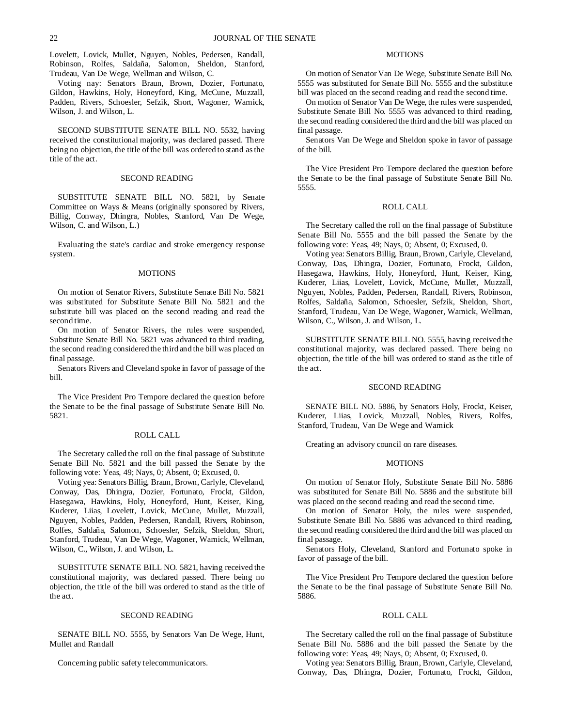Lovelett, Lovick, Mullet, Nguyen, Nobles, Pedersen, Randall, Robinson, Rolfes, Saldaña, Salomon, Sheldon, Stanford, Trudeau, Van De Wege, Wellman and Wilson, C.

Voting nay: Senators Braun, Brown, Dozier, Fortunato, Gildon, Hawkins, Holy, Honeyford, King, McCune, Muzzall, Padden, Rivers, Schoesler, Sefzik, Short, Wagoner, Warnick, Wilson, J. and Wilson, L.

SECOND SUBSTITUTE SENATE BILL NO. 5532, having received the constitutional majority, was declared passed. There being no objection, the title of the bill was ordered to stand as the title of the act.

### SECOND READING

SUBSTITUTE SENATE BILL NO. 5821, by Senate Committee on Ways & Means (originally sponsored by Rivers, Billig, Conway, Dhingra, Nobles, Stanford, Van De Wege, Wilson, C. and Wilson, L.)

Evaluating the state's cardiac and stroke emergency response system.

#### MOTIONS

On motion of Senator Rivers, Substitute Senate Bill No. 5821 was substituted for Substitute Senate Bill No. 5821 and the substitute bill was placed on the second reading and read the second time.

On motion of Senator Rivers, the rules were suspended, Substitute Senate Bill No. 5821 was advanced to third reading, the second reading considered the third and the bill was placed on final passage.

Senators Rivers and Cleveland spoke in favor of passage of the bill.

The Vice President Pro Tempore declared the question before the Senate to be the final passage of Substitute Senate Bill No. 5821.

### ROLL CALL

The Secretary called the roll on the final passage of Substitute Senate Bill No. 5821 and the bill passed the Senate by the following vote: Yeas, 49; Nays, 0; Absent, 0; Excused, 0.

Voting yea: Senators Billig, Braun, Brown, Carlyle, Cleveland, Conway, Das, Dhingra, Dozier, Fortunato, Frockt, Gildon, Hasegawa, Hawkins, Holy, Honeyford, Hunt, Keiser, King, Kuderer, Liias, Lovelett, Lovick, McCune, Mullet, Muzzall, Nguyen, Nobles, Padden, Pedersen, Randall, Rivers, Robinson, Rolfes, Saldaña, Salomon, Schoesler, Sefzik, Sheldon, Short, Stanford, Trudeau, Van De Wege, Wagoner, Warnick, Wellman, Wilson, C., Wilson, J. and Wilson, L.

SUBSTITUTE SENATE BILL NO. 5821, having received the constitutional majority, was declared passed. There being no objection, the title of the bill was ordered to stand as the title of the act.

### SECOND READING

SENATE BILL NO. 5555, by Senators Van De Wege, Hunt, Mullet and Randall

Concerning public safety telecommunicators.

## **MOTIONS**

On motion of Senator Van De Wege, Substitute Senate Bill No. 5555 was substituted for Senate Bill No. 5555 and the substitute bill was placed on the second reading and read the second time.

On motion of Senator Van De Wege, the rules were suspended, Substitute Senate Bill No. 5555 was advanced to third reading, the second reading considered the third and the bill was placed on final passage.

Senators Van De Wege and Sheldon spoke in favor of passage of the bill.

The Vice President Pro Tempore declared the question before the Senate to be the final passage of Substitute Senate Bill No. 5555.

### ROLL CALL

The Secretary called the roll on the final passage of Substitute Senate Bill No. 5555 and the bill passed the Senate by the following vote: Yeas, 49; Nays, 0; Absent, 0; Excused, 0.

Voting yea: Senators Billig, Braun, Brown, Carlyle, Cleveland, Conway, Das, Dhingra, Dozier, Fortunato, Frockt, Gildon, Hasegawa, Hawkins, Holy, Honeyford, Hunt, Keiser, King, Kuderer, Liias, Lovelett, Lovick, McCune, Mullet, Muzzall, Nguyen, Nobles, Padden, Pedersen, Randall, Rivers, Robinson, Rolfes, Saldaña, Salomon, Schoesler, Sefzik, Sheldon, Short, Stanford, Trudeau, Van De Wege, Wagoner, Warnick, Wellman, Wilson, C., Wilson, J. and Wilson, L.

SUBSTITUTE SENATE BILL NO. 5555, having received the constitutional majority, was declared passed. There being no objection, the title of the bill was ordered to stand as the title of the act.

#### SECOND READING

SENATE BILL NO. 5886, by Senators Holy, Frockt, Keiser, Kuderer, Liias, Lovick, Muzzall, Nobles, Rivers, Rolfes, Stanford, Trudeau, Van De Wege and Warnick

Creating an advisory council on rare diseases.

#### **MOTIONS**

On motion of Senator Holy, Substitute Senate Bill No. 5886 was substituted for Senate Bill No. 5886 and the substitute bill was placed on the second reading and read the second time.

On motion of Senator Holy, the rules were suspended, Substitute Senate Bill No. 5886 was advanced to third reading, the second reading considered the third and the bill was placed on final passage.

Senators Holy, Cleveland, Stanford and Fortunato spoke in favor of passage of the bill.

The Vice President Pro Tempore declared the question before the Senate to be the final passage of Substitute Senate Bill No. 5886.

### ROLL CALL

The Secretary called the roll on the final passage of Substitute Senate Bill No. 5886 and the bill passed the Senate by the following vote: Yeas, 49; Nays, 0; Absent, 0; Excused, 0.

Voting yea: Senators Billig, Braun, Brown, Carlyle, Cleveland, Conway, Das, Dhingra, Dozier, Fortunato, Frockt, Gildon,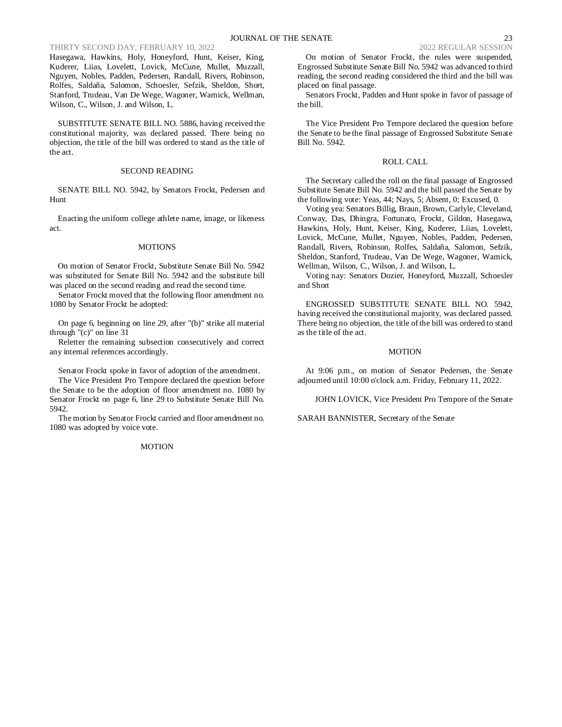Hasegawa, Hawkins, Holy, Honeyford, Hunt, Keiser, King, Kuderer, Liias, Lovelett, Lovick, McCune, Mullet, Muzzall, Nguyen, Nobles, Padden, Pedersen, Randall, Rivers, Robinson, Rolfes, Saldaña, Salomon, Schoesler, Sefzik, Sheldon, Short, Stanford, Trudeau, Van De Wege, Wagoner, Warnick, Wellman, Wilson, C., Wilson, J. and Wilson, L.

SUBSTITUTE SENATE BILL NO. 5886, having received the constitutional majority, was declared passed. There being no objection, the title of the bill was ordered to stand as the title of the act.

## SECOND READING

SENATE BILL NO. 5942, by Senators Frockt, Pedersen and Hunt

Enacting the uniform college athlete name, image, or likeness act.

#### **MOTIONS**

On motion of Senator Frockt, Substitute Senate Bill No. 5942 was substituted for Senate Bill No. 5942 and the substitute bill was placed on the second reading and read the second time.

Senator Frockt moved that the following floor amendment no. 1080 by Senator Frockt be adopted:

On page 6, beginning on line 29, after "(b)" strike all material through "(c)" on line 31

Reletter the remaining subsection consecutively and correct any internal references accordingly.

Senator Frockt spoke in favor of adoption of the amendment.

The Vice President Pro Tempore declared the question before the Senate to be the adoption of floor amendment no. 1080 by Senator Frockt on page 6, line 29 to Substitute Senate Bill No. 5942.

The motion by Senator Frockt carried and floor amendment no. 1080 was adopted by voice vote.

### **MOTION**

On motion of Senator Frockt, the rules were suspended, Engrossed Substitute Senate Bill No. 5942 was advanced to third reading, the second reading considered the third and the bill was placed on final passage.

Senators Frockt, Padden and Hunt spoke in favor of passage of the bill.

The Vice President Pro Tempore declared the question before the Senate to be the final passage of Engrossed Substitute Senate Bill No. 5942.

#### ROLL CALL

The Secretary called the roll on the final passage of Engrossed Substitute Senate Bill No. 5942 and the bill passed the Senate by the following vote: Yeas, 44; Nays, 5; Absent, 0; Excused, 0.

Voting yea: Senators Billig, Braun, Brown, Carlyle, Cleveland, Conway, Das, Dhingra, Fortunato, Frockt, Gildon, Hasegawa, Hawkins, Holy, Hunt, Keiser, King, Kuderer, Liias, Lovelett, Lovick, McCune, Mullet, Nguyen, Nobles, Padden, Pedersen, Randall, Rivers, Robinson, Rolfes, Saldaña, Salomon, Sefzik, Sheldon, Stanford, Trudeau, Van De Wege, Wagoner, Warnick, Wellman, Wilson, C., Wilson, J. and Wilson, L.

Voting nay: Senators Dozier, Honeyford, Muzzall, Schoesler and Short

ENGROSSED SUBSTITUTE SENATE BILL NO. 5942, having received the constitutional majority, was declared passed. There being no objection, the title of the bill was ordered to stand as the title of the act.

#### MOTION

At 9:06 p.m., on motion of Senator Pedersen, the Senate adjourned until 10:00 o'clock a.m. Friday, February 11, 2022.

JOHN LOVICK, Vice President Pro Tempore of the Senate

SARAH BANNISTER, Secretary of the Senate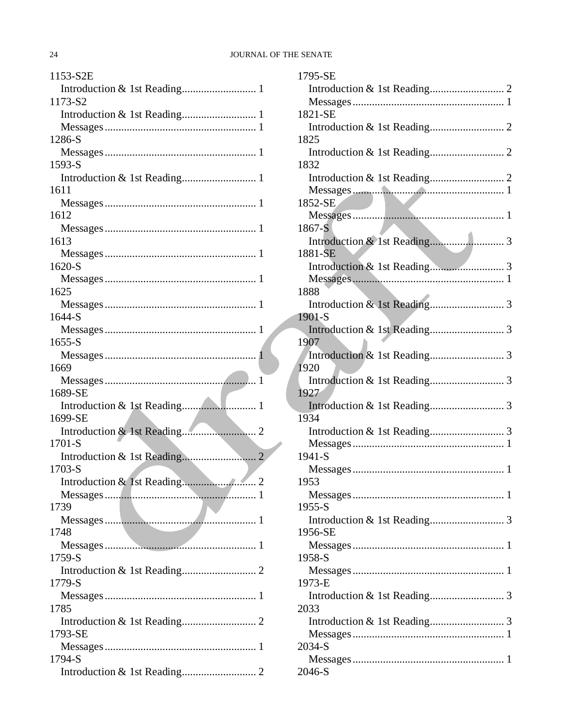# 24 JOURNAL OF THE SENATE

| 1153-S2E       |
|----------------|
|                |
| 1173-S2        |
|                |
|                |
| 1286-S         |
|                |
| 1593-S         |
|                |
| 1611           |
|                |
| 1612           |
|                |
| 1613           |
|                |
| 1620-S         |
|                |
|                |
| 1625           |
|                |
| 1644-S         |
|                |
| $1655-S$       |
|                |
| 1669           |
|                |
| 1689-SE        |
|                |
| 1699-SE        |
|                |
| 1701-S         |
|                |
| $1703-S$       |
| $\overline{2}$ |
|                |
| 1739           |
|                |
| 1748           |
|                |
| 1759-S         |
|                |
| 1779-S         |
|                |
| 1785           |
|                |
| 1793-SE        |
|                |
| 1794-S         |
|                |
|                |

| 1795-SE  |
|----------|
|          |
|          |
| 1821-SE  |
|          |
| 1825     |
|          |
| 1832     |
|          |
|          |
| 1852-SE  |
|          |
| 1867-S   |
|          |
| 1881-SE  |
|          |
|          |
| 1888     |
|          |
| 1901-S   |
|          |
| 1907     |
|          |
| 1920     |
|          |
| 1927     |
|          |
| 1934     |
|          |
|          |
| 1941-S   |
| 1953     |
|          |
|          |
| $1955-S$ |
| 1956-SE  |
|          |
| 1958-S   |
|          |
| 1973-E   |
|          |
| 2033     |
|          |
|          |
| 2034-S   |
|          |
| 2046-S   |
|          |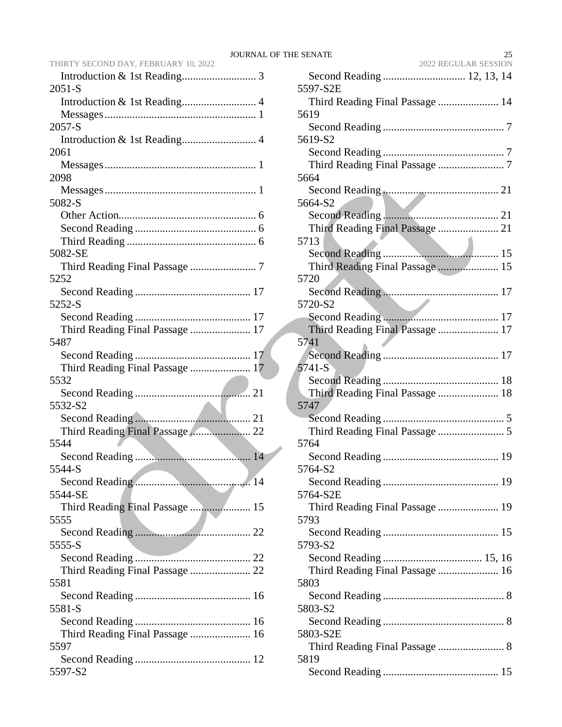|                      | 25 |
|----------------------|----|
| 2022 REGULAR SESSION |    |

| THIRTY SECOND DAY, FEBRUARY 10, 2022 |
|--------------------------------------|
|                                      |
| $2051-S$                             |
|                                      |
|                                      |
| 2057-S                               |
|                                      |
| 2061                                 |
|                                      |
| 2098                                 |
|                                      |
| 5082-S                               |
|                                      |
|                                      |
|                                      |
|                                      |
| 5082-SE                              |
|                                      |
| 5252                                 |
|                                      |
| 5252-S                               |
|                                      |
| Third Reading Final Passage  17      |
| 5487                                 |
|                                      |
| Third Reading Final Passage  17      |
| 5532                                 |
|                                      |
| 5532-S2                              |
|                                      |
| Third Reading Final Passage 22       |
| 5544                                 |
|                                      |
| 5544-S                               |
|                                      |
|                                      |
| 5544-SE                              |
| Third Reading Final Passage  15      |
| 5555                                 |
|                                      |
| 5555-S                               |
|                                      |
|                                      |
| 5581                                 |
|                                      |
| 5581-S                               |
|                                      |
| Third Reading Final Passage  16      |
| 5597                                 |
|                                      |
| 5597-S2                              |
|                                      |

| Second Reading  12, 13, 14      |
|---------------------------------|
| 5597-S2E                        |
| Third Reading Final Passage  14 |
| 5619                            |
|                                 |
| 5619-S2                         |
|                                 |
|                                 |
| 5664                            |
|                                 |
| 5664-S2                         |
|                                 |
|                                 |
| 5713                            |
|                                 |
| Third Reading Final Passage  15 |
| 5720                            |
|                                 |
| 5720-S2                         |
|                                 |
| Third Reading Final Passage  17 |
| 5741                            |
|                                 |
| $5741-S$                        |
|                                 |
| Third Reading Final Passage  18 |
| 5747                            |
|                                 |
|                                 |
| 5764                            |
|                                 |
| 5764-S2                         |
|                                 |
| 5764-S2E                        |
| Third Reading Final Passage  19 |
| 5793                            |
|                                 |
| 5793-S2                         |
|                                 |
| Third Reading Final Passage  16 |
| 5803                            |
|                                 |
| 5803-S2                         |
|                                 |
| 5803-S2E                        |
| Third Reading Final Passage  8  |
| 5819                            |
|                                 |
|                                 |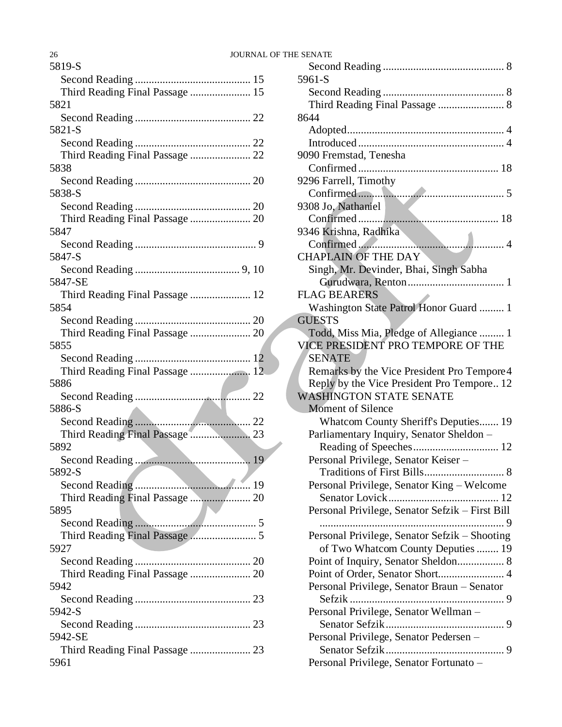| 5819-S                                  |
|-----------------------------------------|
|                                         |
| Third Reading Final Passage  15         |
| 5821                                    |
|                                         |
| 5821-S                                  |
|                                         |
| Third Reading Final Passage  22         |
| 5838                                    |
|                                         |
| 5838-S                                  |
|                                         |
|                                         |
| 5847                                    |
|                                         |
| 5847-S                                  |
|                                         |
| 5847-SE                                 |
| Third Reading Final Passage  12         |
| 5854                                    |
|                                         |
| Third Reading Final Passage  20         |
| 5855                                    |
|                                         |
| Third Reading Final Passage  12         |
| 5886                                    |
|                                         |
| 5886-S                                  |
|                                         |
| Third Reading Final Passage  23         |
| 5892                                    |
| 5892-S                                  |
|                                         |
|                                         |
| Third Reading Final Passage  20<br>5895 |
|                                         |
|                                         |
| 5927                                    |
|                                         |
| Third Reading Final Passage  20         |
| 5942                                    |
|                                         |
| 5942-S                                  |
|                                         |
| 5942-SE                                 |
| Third Reading Final Passage  23         |
| 5961                                    |
|                                         |

| 5961-S                                                                              |
|-------------------------------------------------------------------------------------|
|                                                                                     |
|                                                                                     |
| 8644                                                                                |
|                                                                                     |
|                                                                                     |
| 9090 Fremstad, Tenesha                                                              |
|                                                                                     |
| 9296 Farrell, Timothy                                                               |
|                                                                                     |
| 9308 Jo, Nathaniel                                                                  |
|                                                                                     |
| 9346 Krishna, Radhika                                                               |
|                                                                                     |
| <b>CHAPLAIN OF THE DAY</b>                                                          |
| Singh, Mr. Devinder, Bhai, Singh Sabha                                              |
|                                                                                     |
| <b>FLAG BEARERS</b>                                                                 |
| Washington State Patrol Honor Guard  1                                              |
| <b>GUESTS</b>                                                                       |
| Todd, Miss Mia, Pledge of Allegiance  1                                             |
| VICE PRESIDENT PRO TEMPORE OF THE                                                   |
| <b>SENATE</b>                                                                       |
| Remarks by the Vice President Pro Tempore 4                                         |
|                                                                                     |
| Reply by the Vice President Pro Tempore 12                                          |
| <b>WASHINGTON STATE SENATE</b>                                                      |
| <b>Moment of Silence</b>                                                            |
| Whatcom County Sheriff's Deputies 19                                                |
| Parliamentary Inquiry, Senator Sheldon -                                            |
|                                                                                     |
| Personal Privilege, Senator Keiser -                                                |
|                                                                                     |
|                                                                                     |
| Personal Privilege, Senator King - Welcome                                          |
|                                                                                     |
| Personal Privilege, Senator Sefzik - First Bill<br>$\ldots$ 9                       |
|                                                                                     |
| Personal Privilege, Senator Sefzik - Shooting<br>of Two Whatcom County Deputies  19 |
|                                                                                     |
| Point of Inquiry, Senator Sheldon 8                                                 |
| Point of Order, Senator Short 4                                                     |
| Personal Privilege, Senator Braun - Senator                                         |
|                                                                                     |
| Personal Privilege, Senator Wellman -                                               |
| Personal Privilege, Senator Pedersen -                                              |
|                                                                                     |